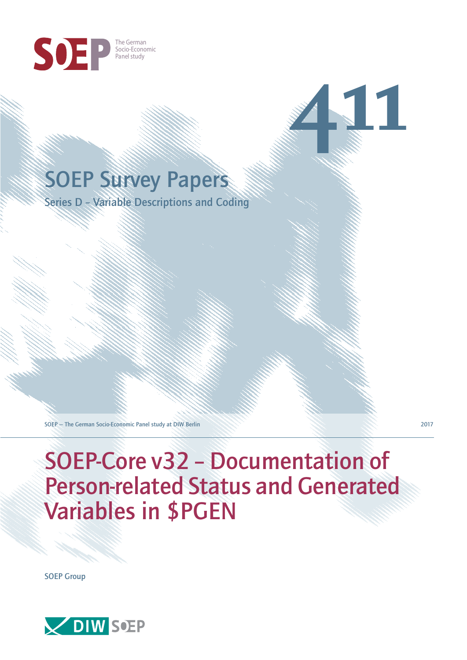

# SOEP Survey Papers

Series D – Variable Descriptions and Coding

SOEP — The German Socio-Economic Panel study at DIW Berlin 2017

**411**

SOEP-Core v32 – Documentation of Person-related Status and Generated Variables in \$PGEN

SOEP Group

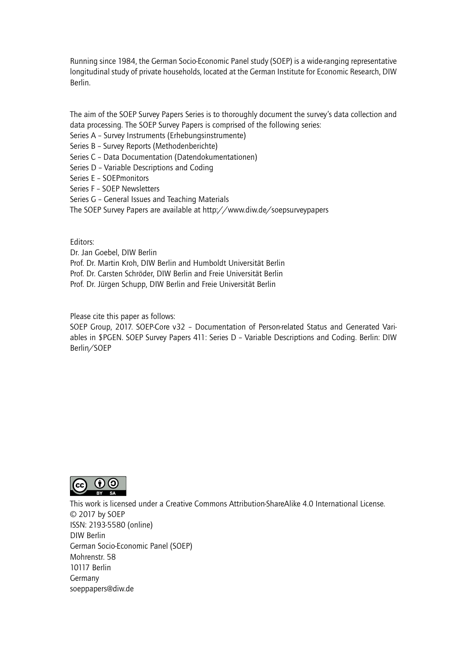Running since 1984, the German Socio-Economic Panel study (SOEP) is a wide-ranging representative longitudinal study of private households, located at the German Institute for Economic Research, DIW Berlin.

The aim of the SOEP Survey Papers Series is to thoroughly document the survey's data collection and data processing. The SOEP Survey Papers is comprised of the following series:

- Series A Survey Instruments (Erhebungsinstrumente)
- Series B Survey Reports (Methodenberichte)
- Series C Data Documentation (Datendokumentationen)
- Series D Variable Descriptions and Coding
- Series E SOEPmonitors
- Series F SOEP Newsletters
- Series G General Issues and Teaching Materials
- The SOEP Survey Papers are available at http://www.diw.de/soepsurveypapers

Editors:

Dr. Jan Goebel, DIW Berlin

- Prof. Dr. Martin Kroh, DIW Berlin and Humboldt Universität Berlin
- Prof. Dr. Carsten Schröder, DIW Berlin and Freie Universität Berlin
- Prof. Dr. Jürgen Schupp, DIW Berlin and Freie Universität Berlin

Please cite this paper as follows:

SOEP Group, 2017. SOEP-Core v32 – Documentation of Person-related Status and Generated Variables in \$PGEN. SOEP Survey Papers 411: Series D – Variable Descriptions and Coding. Berlin: DIW Berlin/SOEP



This work is licensed under a Creative Commons Attribution-ShareAlike 4.0 International License. © 2017 by SOEP ISSN: 2193-5580 (online) DIW Berlin German Socio-Economic Pan[el \(SOEP\)](http://creativecommons.org/licenses/by-sa/4.0/) Mohrenstr. 58 10117 Berlin Germany soeppapers@diw.de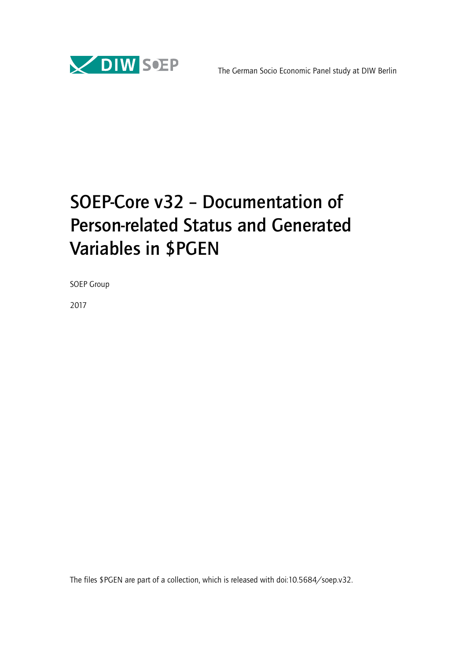

# SOEP-Core v32 – Documentation of Person-related Status and Generated Variables in \$PGEN

SOEP Group

2017

The files \$PGEN are part of a collection, which is released with doi:10.5684/soep.v32.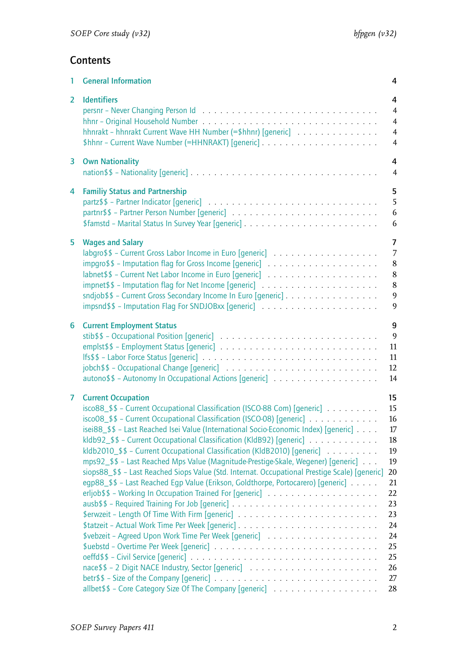# **Contents**

| <b>General Information</b>                                                                                                                                                                                                                                                                                                                                                                                                                                                                                                                                                                                                                                                                                           | 4                                                                                                                  |
|----------------------------------------------------------------------------------------------------------------------------------------------------------------------------------------------------------------------------------------------------------------------------------------------------------------------------------------------------------------------------------------------------------------------------------------------------------------------------------------------------------------------------------------------------------------------------------------------------------------------------------------------------------------------------------------------------------------------|--------------------------------------------------------------------------------------------------------------------|
| <b>Identifiers</b>                                                                                                                                                                                                                                                                                                                                                                                                                                                                                                                                                                                                                                                                                                   | 4                                                                                                                  |
|                                                                                                                                                                                                                                                                                                                                                                                                                                                                                                                                                                                                                                                                                                                      | $\overline{4}$                                                                                                     |
|                                                                                                                                                                                                                                                                                                                                                                                                                                                                                                                                                                                                                                                                                                                      | $\overline{4}$                                                                                                     |
| hhnrakt - hhnrakt Current Wave HH Number (=\$hhnr) [generic]                                                                                                                                                                                                                                                                                                                                                                                                                                                                                                                                                                                                                                                         | $\overline{4}$                                                                                                     |
|                                                                                                                                                                                                                                                                                                                                                                                                                                                                                                                                                                                                                                                                                                                      | $\overline{4}$                                                                                                     |
| <b>Own Nationality</b>                                                                                                                                                                                                                                                                                                                                                                                                                                                                                                                                                                                                                                                                                               | 4                                                                                                                  |
|                                                                                                                                                                                                                                                                                                                                                                                                                                                                                                                                                                                                                                                                                                                      | $\overline{4}$                                                                                                     |
| <b>Familiy Status and Partnership</b>                                                                                                                                                                                                                                                                                                                                                                                                                                                                                                                                                                                                                                                                                | 5                                                                                                                  |
|                                                                                                                                                                                                                                                                                                                                                                                                                                                                                                                                                                                                                                                                                                                      | 5                                                                                                                  |
|                                                                                                                                                                                                                                                                                                                                                                                                                                                                                                                                                                                                                                                                                                                      | 6                                                                                                                  |
|                                                                                                                                                                                                                                                                                                                                                                                                                                                                                                                                                                                                                                                                                                                      | 6                                                                                                                  |
| <b>Wages and Salary</b>                                                                                                                                                                                                                                                                                                                                                                                                                                                                                                                                                                                                                                                                                              | $\overline{7}$                                                                                                     |
|                                                                                                                                                                                                                                                                                                                                                                                                                                                                                                                                                                                                                                                                                                                      | $\overline{7}$                                                                                                     |
|                                                                                                                                                                                                                                                                                                                                                                                                                                                                                                                                                                                                                                                                                                                      | $\bf 8$                                                                                                            |
|                                                                                                                                                                                                                                                                                                                                                                                                                                                                                                                                                                                                                                                                                                                      | $\bf 8$                                                                                                            |
|                                                                                                                                                                                                                                                                                                                                                                                                                                                                                                                                                                                                                                                                                                                      | 8                                                                                                                  |
| sndjob\$\$ - Current Gross Secondary Income In Euro [generic]                                                                                                                                                                                                                                                                                                                                                                                                                                                                                                                                                                                                                                                        | 9                                                                                                                  |
|                                                                                                                                                                                                                                                                                                                                                                                                                                                                                                                                                                                                                                                                                                                      | 9                                                                                                                  |
| <b>Current Employment Status</b>                                                                                                                                                                                                                                                                                                                                                                                                                                                                                                                                                                                                                                                                                     | 9                                                                                                                  |
|                                                                                                                                                                                                                                                                                                                                                                                                                                                                                                                                                                                                                                                                                                                      | $\overline{9}$                                                                                                     |
|                                                                                                                                                                                                                                                                                                                                                                                                                                                                                                                                                                                                                                                                                                                      | 11                                                                                                                 |
|                                                                                                                                                                                                                                                                                                                                                                                                                                                                                                                                                                                                                                                                                                                      | 11                                                                                                                 |
|                                                                                                                                                                                                                                                                                                                                                                                                                                                                                                                                                                                                                                                                                                                      | 12                                                                                                                 |
|                                                                                                                                                                                                                                                                                                                                                                                                                                                                                                                                                                                                                                                                                                                      | 14                                                                                                                 |
| <b>Current Occupation</b><br>$\frac{1}{2}$ isco88_\$\$ - Current Occupational Classification (ISCO-88 Com) [generic]<br>isco08_\$\$ - Current Occupational Classification (ISCO-08) [generic]<br>isei88_\$\$ - Last Reached Isei Value (International Socio-Economic Index) [generic]<br>kldb92_\$\$ - Current Occupational Classification (KldB92) [generic]<br>kldb2010_\$\$ - Current Occupational Classification (KldB2010) [generic]<br>mps92_\$\$ - Last Reached Mps Value (Magnitude-Prestige-Skale, Wegener) [generic]<br>siops88_\$\$ - Last Reached Siops Value (Std. Internat. Occupational Prestige Scale) [generic]<br>egp88_\$\$ - Last Reached Egp Value (Erikson, Goldthorpe, Portocarero) [generic] | 15<br>15<br>16<br>$17\,$<br>18<br>19<br>19<br>20<br>21<br>22<br>23<br>23<br>24<br>24<br>25<br>25<br>26<br>27<br>28 |
|                                                                                                                                                                                                                                                                                                                                                                                                                                                                                                                                                                                                                                                                                                                      |                                                                                                                    |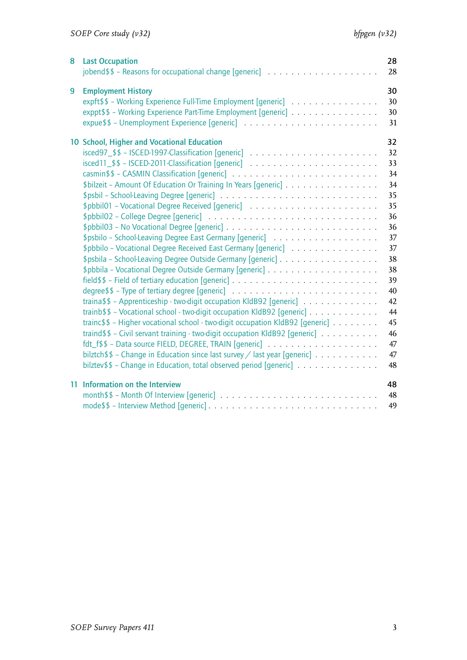| 8 | <b>Last Occupation</b>                                                                                                                                                                                                                                                                                                                                                                                                                                                                                                                                                                                                                                                  | 28<br>28                                                                                                                         |
|---|-------------------------------------------------------------------------------------------------------------------------------------------------------------------------------------------------------------------------------------------------------------------------------------------------------------------------------------------------------------------------------------------------------------------------------------------------------------------------------------------------------------------------------------------------------------------------------------------------------------------------------------------------------------------------|----------------------------------------------------------------------------------------------------------------------------------|
| 9 | <b>Employment History</b><br>expft\$\$ - Working Experience Full-Time Employment [generic]<br>exppt\$\$ - Working Experience Part-Time Employment [generic]                                                                                                                                                                                                                                                                                                                                                                                                                                                                                                             | 30<br>30<br>30<br>31                                                                                                             |
|   | 10 School, Higher and Vocational Education<br>\$bilzeit - Amount Of Education Or Training In Years [generic]<br>\$pbbilo - Vocational Degree Received East Germany [generic]<br>traina\$\$ - Apprenticeship - two-digit occupation KldB92 [generic]<br>trainb\$\$ - Vocational school - two-digit occupation KldB92 [generic]<br>trainc\$\$ - Higher vocational school - two-digit occupation KldB92 [generic]<br>traind\$\$ - Civil servant training - two-digit occupation KldB92 [generic]<br>bilztch\$\$ - Change in Education since last survey / last year [generic] $\ldots \ldots \ldots$<br>bilztev\$\$ - Change in Education, total observed period [generic] | 32<br>32<br>33<br>34<br>34<br>35<br>35<br>36<br>36<br>37<br>37<br>38<br>38<br>39<br>40<br>42<br>44<br>45<br>46<br>47<br>47<br>48 |
|   | 11 Information on the Interview                                                                                                                                                                                                                                                                                                                                                                                                                                                                                                                                                                                                                                         | 48<br>48<br>49                                                                                                                   |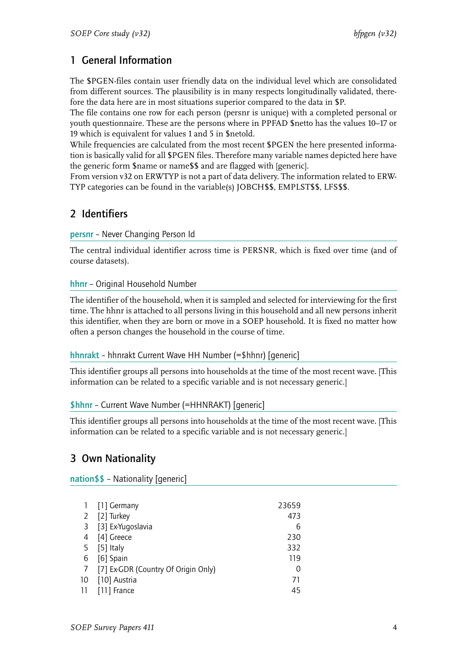# <span id="page-5-0"></span>1 General Information

The \$PGEN-files contain user friendly data on the individual level which are consolidated from different sources. The plausibility is in many respects longitudinally validated, therefore the data here are in most situations superior compared to the data in \$P.

The file contains one row for each person (persnr is unique) with a completed personal or youth questionnaire. These are the persons where in PPFAD \$netto has the values 10–17 or 19 which is equivalent for values 1 and 5 in \$netold.

While frequencies are calculated from the most recent \$PGEN the here presented information is basically valid for all \$PGEN files. Therefore many variable names depicted here have the generic form \$name or name\$\$ and are flagged with [generic].

From version v32 on ERWTYP is not a part of data delivery. The information related to ERW-TYP categories can be found in the variable(s) JOBCH\$\$, EMPLST\$\$, LFS\$\$.

# <span id="page-5-1"></span>2 Identifiers

<span id="page-5-2"></span>persnr – Never Changing Person Id

The central individual identifier across time is PERSNR, which is fixed over time (and of course datasets).

<span id="page-5-3"></span>hhnr – Original Household Number

The identifier of the household, when it is sampled and selected for interviewing for the first time. The hhnr is attached to all persons living in this household and all new persons inherit this identifier, when they are born or move in a SOEP household. It is fixed no matter how often a person changes the household in the course of time.

# <span id="page-5-4"></span>hhnrakt – hhnrakt Current Wave HH Number (=\$hhnr) [generic]

This identifier groups all persons into households at the time of the most recent wave. [This information can be related to a specific variable and is not necessary generic.]

# \$hhnr – Current Wave Number (=HHNRAKT) [generic]

This identifier groups all persons into households at the time of the most recent wave. [This information can be related to a specific variable and is not necessary generic.]

# <span id="page-5-5"></span>3 Own Nationality

<span id="page-5-6"></span>nation\$\$ – Nationality [generic]

|              | 1 [1] Germany                       | 23659 |
|--------------|-------------------------------------|-------|
| $\mathbf{2}$ | [2] Turkey                          | 473   |
| 3            | [3] Ex-Yugoslavia                   | 6     |
| 4            | [4] Greece                          | 230   |
| 5            | [5] Italy                           | 332   |
| 6            | [6] Spain                           | 119   |
| 7            | [7] Ex-GDR (Country Of Origin Only) | 0     |
| 10           | [10] Austria                        | 71    |
| 11           | [11] France                         | 45    |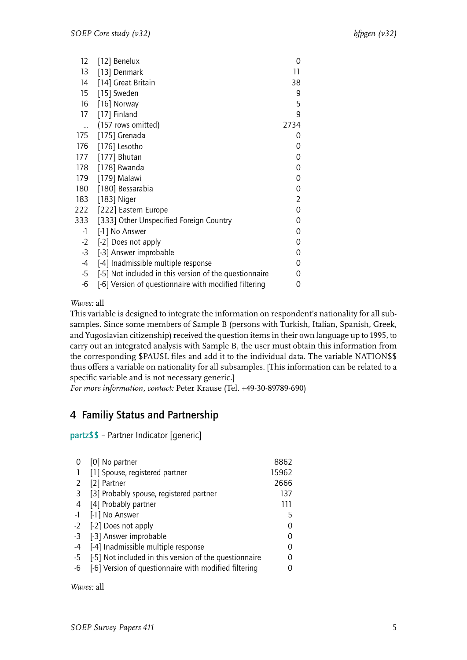| 12        | [12] Benelux                                           | 0              |
|-----------|--------------------------------------------------------|----------------|
| 13        | [13] Denmark                                           | 11             |
| 14        | [14] Great Britain                                     | 38             |
| 15        | [15] Sweden                                            | 9              |
| 16        | [16] Norway                                            | 5              |
| 17        | [17] Finland                                           | 9              |
| $\ddotsc$ | (157 rows omitted)                                     | 2734           |
|           | 175 [175] Grenada                                      | 0              |
| 176       | [176] Lesotho                                          | 0              |
|           | 177 [177] Bhutan                                       | 0              |
| 178       | [178] Rwanda                                           | 0              |
| 179       | [179] Malawi                                           | 0              |
| 180       | [180] Bessarabia                                       | 0              |
| 183       | [183] Niger                                            | $\overline{2}$ |
|           | 222 [222] Eastern Europe                               | 0              |
| 333       | [333] Other Unspecified Foreign Country                | 0              |
| -1        | [-1] No Answer                                         | 0              |
| $-2$      | [-2] Does not apply                                    | 0              |
| $-3$      | [-3] Answer improbable                                 | 0              |
| -4        | [-4] Inadmissible multiple response                    | 0              |
| $-5$      | [-5] Not included in this version of the questionnaire | 0              |
| $-6$      | [-6] Version of questionnaire with modified filtering  | 0              |
|           |                                                        |                |

This variable is designed to integrate the information on respondent's nationality for all subsamples. Since some members of Sample B (persons with Turkish, Italian, Spanish, Greek, and Yugoslavian citizenship) received the question items in their own language up to 1995, to carry out an integrated analysis with Sample B, the user must obtain this information from the corresponding \$PAUSL files and add it to the individual data. The variable NATION\$\$ thus offers a variable on nationality for all subsamples. [This information can be related to a specific variable and is not necessary generic.]

*For more information, contact:* Peter Krause (Tel. +49-30-89789-690)

# <span id="page-6-0"></span>4 Familiy Status and Partnership

<span id="page-6-1"></span>partz\$\$ – Partner Indicator [generic]

| 0    | [0] No partner                                         | 8862  |
|------|--------------------------------------------------------|-------|
|      | [1] Spouse, registered partner                         | 15962 |
| 2    | [2] Partner                                            | 2666  |
| 3    | [3] Probably spouse, registered partner                | 137   |
| 4    | [4] Probably partner                                   | 111   |
| $-1$ | [-1] No Answer                                         | 5     |
| $-2$ | [-2] Does not apply                                    |       |
| $-3$ | [-3] Answer improbable                                 |       |
| $-4$ | [-4] Inadmissible multiple response                    | Ω     |
| $-5$ | [-5] Not included in this version of the questionnaire |       |
| -6   | [-6] Version of questionnaire with modified filtering  |       |
|      |                                                        |       |

*Waves:* all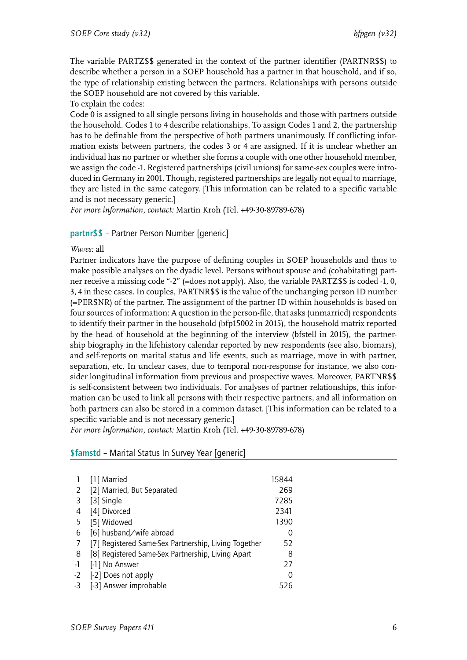The variable PARTZ\$\$ generated in the context of the partner identifier (PARTNR\$\$) to describe whether a person in a SOEP household has a partner in that household, and if so, the type of relationship existing between the partners. Relationships with persons outside the SOEP household are not covered by this variable.

To explain the codes:

Code 0 is assigned to all single persons living in households and those with partners outside the household. Codes 1 to 4 describe relationships. To assign Codes 1 and 2, the partnership has to be definable from the perspective of both partners unanimously. If conflicting information exists between partners, the codes 3 or 4 are assigned. If it is unclear whether an individual has no partner or whether she forms a couple with one other household member, we assign the code -1. Registered partnerships (civil unions) for same-sex couples were introduced in Germany in 2001. Though, registered partnerships are legally not equal to marriage, they are listed in the same category. [This information can be related to a specific variable and is not necessary generic.]

*For more information, contact:* Martin Kroh (Tel. +49-30-89789-678)

## <span id="page-7-0"></span>partnr\$\$ – Partner Person Number [generic]

#### *Waves:* all

Partner indicators have the purpose of defining couples in SOEP households and thus to make possible analyses on the dyadic level. Persons without spouse and (cohabitating) partner receive a missing code "-2" (=does not apply). Also, the variable PARTZ\$\$ is coded -1, 0, 3, 4 in these cases. In couples, PARTNR\$\$ is the value of the unchanging person ID number (=PERSNR) of the partner. The assignment of the partner ID within households is based on four sources of information: A question in the person-file, that asks (unmarried) respondents to identify their partner in the household (bfp15002 in 2015), the household matrix reported by the head of household at the beginning of the interview (bfstell in 2015), the partnership biography in the lifehistory calendar reported by new respondents (see also, biomars), and self-reports on marital status and life events, such as marriage, move in with partner, separation, etc. In unclear cases, due to temporal non-response for instance, we also consider longitudinal information from previous and prospective waves. Moreover, PARTNR\$\$ is self-consistent between two individuals. For analyses of partner relationships, this information can be used to link all persons with their respective partners, and all information on both partners can also be stored in a common dataset. [This information can be related to a specific variable and is not necessary generic.]

*For more information, contact:* Martin Kroh (Tel. +49-30-89789-678)

## <span id="page-7-1"></span>\$famstd – Marital Status In Survey Year [generic]

|      | [1] Married                                          | 15844 |
|------|------------------------------------------------------|-------|
| 2    | [2] Married, But Separated                           | 269   |
| 3    | [3] Single                                           | 7285  |
| 4    | [4] Divorced                                         | 2341  |
| 5    | [5] Widowed                                          | 1390  |
| 6    | [6] husband/wife abroad                              | 0     |
|      | [7] Registered Same-Sex Partnership, Living Together | 52    |
| 8    | [8] Registered Same-Sex Partnership, Living Apart    | 8     |
| -1   | [-1] No Answer                                       | 27    |
| $-2$ | [-2] Does not apply                                  | 0     |
| -3   | [-3] Answer improbable                               | 526   |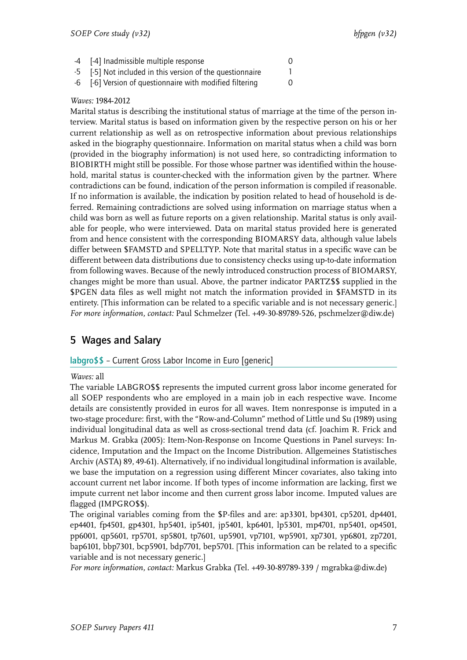| -4 [-4] Inadmissible multiple response                    |  |
|-----------------------------------------------------------|--|
| -5 [-5] Not included in this version of the questionnaire |  |

-6 [-6] Version of questionnaire with modified filtering 0

# *Waves:* 1984-2012

Marital status is describing the institutional status of marriage at the time of the person interview. Marital status is based on information given by the respective person on his or her current relationship as well as on retrospective information about previous relationships asked in the biography questionnaire. Information on marital status when a child was born (provided in the biography information) is not used here, so contradicting information to BIOBIRTH might still be possible. For those whose partner was identified within the household, marital status is counter-checked with the information given by the partner. Where contradictions can be found, indication of the person information is compiled if reasonable. If no information is available, the indication by position related to head of household is deferred. Remaining contradictions are solved using information on marriage status when a child was born as well as future reports on a given relationship. Marital status is only available for people, who were interviewed. Data on marital status provided here is generated from and hence consistent with the corresponding BIOMARSY data, although value labels differ between \$FAMSTD and SPELLTYP. Note that marital status in a specific wave can be different between data distributions due to consistency checks using up-to-date information from following waves. Because of the newly introduced construction process of BIOMARSY, changes might be more than usual. Above, the partner indicator PARTZ\$\$ supplied in the \$PGEN data files as well might not match the information provided in \$FAMSTD in its entirety. [This information can be related to a specific variable and is not necessary generic.] *For more information, contact:* Paul Schmelzer (Tel. +49-30-89789-526, pschmelzer@diw.de)

# <span id="page-8-0"></span>5 Wages and Salary

# <span id="page-8-1"></span>labgro\$\$ – Current Gross Labor Income in Euro [generic]

## *Waves:* all

The variable LABGRO\$\$ represents the imputed current gross labor income generated for all SOEP respondents who are employed in a main job in each respective wave. Income details are consistently provided in euros for all waves. Item nonresponse is imputed in a two-stage procedure: first, with the "Row-and-Column" method of Little und Su (1989) using individual longitudinal data as well as cross-sectional trend data (cf. Joachim R. Frick and Markus M. Grabka (2005): Item-Non-Response on Income Questions in Panel surveys: Incidence, Imputation and the Impact on the Income Distribution. Allgemeines Statistisches Archiv (ASTA) 89, 49-61). Alternatively, if no individual longitudinal information is available, we base the imputation on a regression using different Mincer covariates, also taking into account current net labor income. If both types of income information are lacking, first we impute current net labor income and then current gross labor income. Imputed values are flagged (IMPGRO\$\$).

The original variables coming from the \$P-files and are: ap3301, bp4301, cp5201, dp4401, ep4401, fp4501, gp4301, hp5401, ip5401, jp5401, kp6401, lp5301, mp4701, np5401, op4501, pp6001, qp5601, rp5701, sp5801, tp7601, up5901, vp7101, wp5901, xp7301, yp6801, zp7201, bap6101, bbp7301, bcp5901, bdp7701, bep5701. [This information can be related to a specific variable and is not necessary generic.]

*For more information, contact:* Markus Grabka (Tel. +49-30-89789-339 / mgrabka@diw.de)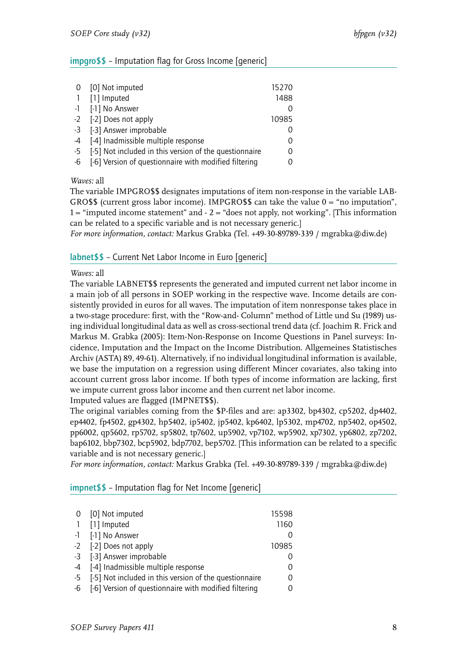# <span id="page-9-0"></span>impgro\$\$ – Imputation flag for Gross Income [generic]

|                | 0 [0] Not imputed                                      | 15270 |
|----------------|--------------------------------------------------------|-------|
| $\overline{1}$ | [1] Imputed                                            | 1488  |
|                | -1 [-1] No Answer                                      |       |
|                | -2 [-2] Does not apply                                 | 10985 |
|                | -3 [-3] Answer improbable                              |       |
|                | -4 [-4] Inadmissible multiple response                 |       |
| $-5$           | [-5] Not included in this version of the questionnaire |       |
| -6             | [-6] Version of questionnaire with modified filtering  |       |

*Waves:* all

The variable IMPGRO\$\$ designates imputations of item non-response in the variable LAB-GRO\$\$ (current gross labor income). IMPGRO\$\$ can take the value  $0 =$  "no imputation",  $1 =$  "imputed income statement" and  $-2 =$  "does not apply, not working". [This information can be related to a specific variable and is not necessary generic.]

*For more information, contact:* Markus Grabka (Tel. +49-30-89789-339 / mgrabka@diw.de)

# <span id="page-9-1"></span>labnet\$\$ – Current Net Labor Income in Euro [generic]

*Waves:* all

The variable LABNET\$\$ represents the generated and imputed current net labor income in a main job of all persons in SOEP working in the respective wave. Income details are consistently provided in euros for all waves. The imputation of item nonresponse takes place in a two-stage procedure: first, with the "Row-and- Column" method of Little und Su (1989) using individual longitudinal data as well as cross-sectional trend data (cf. Joachim R. Frick and Markus M. Grabka (2005): Item-Non-Response on Income Questions in Panel surveys: Incidence, Imputation and the Impact on the Income Distribution. Allgemeines Statistisches Archiv (ASTA) 89, 49-61). Alternatively, if no individual longitudinal information is available, we base the imputation on a regression using different Mincer covariates, also taking into account current gross labor income. If both types of income information are lacking, first we impute current gross labor income and then current net labor income.

Imputed values are flagged (IMPNET\$\$).

The original variables coming from the \$P-files and are: ap3302, bp4302, cp5202, dp4402, ep4402, fp4502, gp4302, hp5402, ip5402, jp5402, kp6402, lp5302, mp4702, np5402, op4502, pp6002, qp5602, rp5702, sp5802, tp7602, up5902, vp7102, wp5902, xp7302, yp6802, zp7202, bap6102, bbp7302, bcp5902, bdp7702, bep5702. [This information can be related to a specific variable and is not necessary generic.]

*For more information, contact:* Markus Grabka (Tel. +49-30-89789-339 / mgrabka@diw.de)

<span id="page-9-2"></span>

| $impret$ \$ - Imputation flag for Net Income [generic] |  |
|--------------------------------------------------------|--|
|                                                        |  |

| 0 [0] Not imputed                                         | 15598 |
|-----------------------------------------------------------|-------|
| 1 [1] Imputed                                             | 1160  |
| -1 [-1] No Answer                                         | 0     |
| -2 [-2] Does not apply                                    | 10985 |
| -3 [-3] Answer improbable                                 | O     |
| -4 [-4] Inadmissible multiple response                    | 0     |
| -5 [-5] Not included in this version of the questionnaire | 0     |
| -6 [-6] Version of questionnaire with modified filtering  | 0     |
|                                                           |       |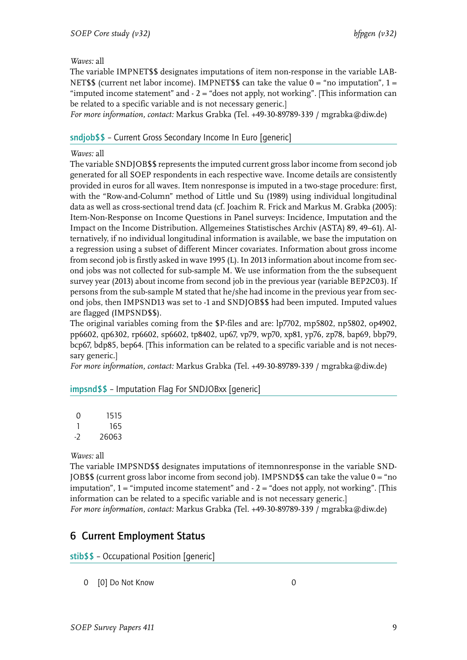The variable IMPNET\$\$ designates imputations of item non-response in the variable LAB-NET\$\$ (current net labor income). IMPNET\$\$ can take the value  $0 = \text{``no imputation''}$ ,  $1 =$ "imputed income statement" and  $-2 =$  "does not apply, not working". [This information can be related to a specific variable and is not necessary generic.]

*For more information, contact:* Markus Grabka (Tel. +49-30-89789-339 / mgrabka@diw.de)

# <span id="page-10-0"></span>sndjob\$\$ – Current Gross Secondary Income In Euro [generic]

# *Waves:* all

The variable SNDJOB\$\$ represents the imputed current gross labor income from second job generated for all SOEP respondents in each respective wave. Income details are consistently provided in euros for all waves. Item nonresponse is imputed in a two-stage procedure: first, with the "Row-and-Column" method of Little und Su (1989) using individual longitudinal data as well as cross-sectional trend data (cf. Joachim R. Frick and Markus M. Grabka (2005): Item-Non-Response on Income Questions in Panel surveys: Incidence, Imputation and the Impact on the Income Distribution. Allgemeines Statistisches Archiv (ASTA) 89, 49–61). Alternatively, if no individual longitudinal information is available, we base the imputation on a regression using a subset of different Mincer covariates. Information about gross income from second job is firstly asked in wave 1995 (L). In 2013 information about income from second jobs was not collected for sub-sample M. We use information from the the subsequent survey year (2013) about income from second job in the previous year (variable BEP2C03). If persons from the sub-sample M stated that he/she had income in the previous year from second jobs, then IMPSND13 was set to -1 and SNDJOB\$\$ had been imputed. Imputed values are flagged (IMPSND\$\$).

The original variables coming from the \$P-files and are: lp7702, mp5802, np5802, op4902, pp6602, qp6302, rp6602, sp6602, tp8402, up67, vp79, wp70, xp81, yp76, zp78, bap69, bbp79, bcp67, bdp85, bep64. [This information can be related to a specific variable and is not necessary generic.]

*For more information, contact:* Markus Grabka (Tel. +49-30-89789-339 / mgrabka@diw.de)

# <span id="page-10-1"></span>impsnd\$\$ – Imputation Flag For SNDJOBxx [generic]

| $\mathcal{O}$ | 1515  |
|---------------|-------|
|               | 165   |
| - 2           | 26063 |

## *Waves:* all

The variable IMPSND\$\$ designates imputations of itemnonresponse in the variable SND-JOB\$\$ (current gross labor income from second job). IMPSND\$\$ can take the value  $0 =$  "no" imputation",  $1 =$  "imputed income statement" and  $-2 =$  "does not apply, not working". [This information can be related to a specific variable and is not necessary generic.] *For more information, contact:* Markus Grabka (Tel. +49-30-89789-339 / mgrabka@diw.de)

# <span id="page-10-2"></span>6 Current Employment Status

<span id="page-10-3"></span>stib\$\$ – Occupational Position [generic]

0 [0] Do Not Know 0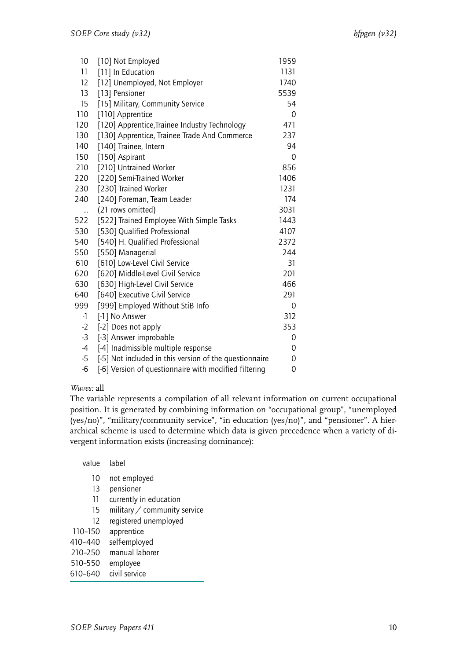| [10] Not Employed                                      | 1959 |  |
|--------------------------------------------------------|------|--|
| [11] In Education                                      | 1131 |  |
| [12] Unemployed, Not Employer                          | 1740 |  |
| [13] Pensioner                                         | 5539 |  |
| [15] Military, Community Service                       | 54   |  |
| [110] Apprentice                                       | 0    |  |
| [120] Apprentice, Trainee Industry Technology          | 471  |  |
| [130] Apprentice, Trainee Trade And Commerce           | 237  |  |
| [140] Trainee, Intern                                  | 94   |  |
| [150] Aspirant                                         | 0    |  |
| [210] Untrained Worker                                 | 856  |  |
| [220] Semi-Trained Worker                              | 1406 |  |
| [230] Trained Worker                                   | 1231 |  |
| [240] Foreman, Team Leader                             | 174  |  |
| (21 rows omitted)                                      | 3031 |  |
| [522] Trained Employee With Simple Tasks               | 1443 |  |
| [530] Qualified Professional                           | 4107 |  |
| [540] H. Qualified Professional                        | 2372 |  |
| [550] Managerial                                       | 244  |  |
| [610] Low-Level Civil Service                          | 31   |  |
| [620] Middle-Level Civil Service                       | 201  |  |
| [630] High-Level Civil Service                         | 466  |  |
| [640] Executive Civil Service                          | 291  |  |
| [999] Employed Without StiB Info                       | 0    |  |
| [-1] No Answer                                         | 312  |  |
| [-2] Does not apply                                    | 353  |  |
| [-3] Answer improbable                                 | 0    |  |
| [-4] Inadmissible multiple response                    | 0    |  |
| [-5] Not included in this version of the questionnaire | 0    |  |
| [-6] Version of questionnaire with modified filtering  | 0    |  |
|                                                        |      |  |

The variable represents a compilation of all relevant information on current occupational position. It is generated by combining information on "occupational group", "unemployed (yes/no)", "military/community service", "in education (yes/no)", and "pensioner". A hierarchical scheme is used to determine which data is given precedence when a variety of divergent information exists (increasing dominance):

| value   | label                               |
|---------|-------------------------------------|
| 10      | not employed                        |
| 13      | pensioner                           |
| 11      | currently in education              |
| 15      | military $\angle$ community service |
| 12      | registered unemployed               |
| 110-150 | apprentice                          |
| 410-440 | self-employed                       |
| 210-250 | manual laborer                      |
| 510-550 | employee                            |
| 610-640 | civil service                       |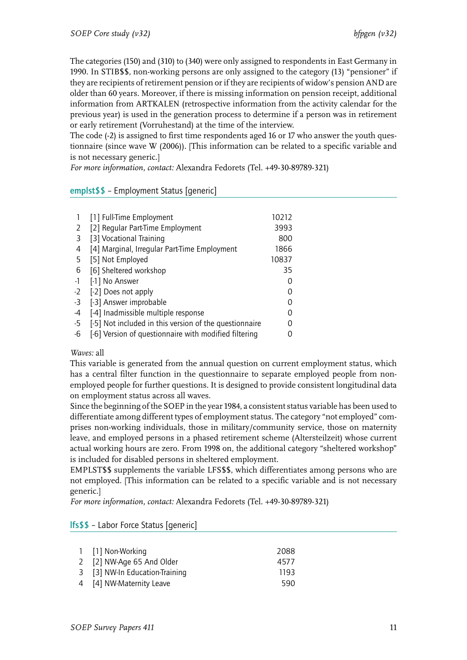The categories (150) and (310) to (340) were only assigned to respondents in East Germany in 1990. In STIB\$\$, non-working persons are only assigned to the category (13) "pensioner" if they are recipients of retirement pension or if they are recipients of widow's pension AND are older than 60 years. Moreover, if there is missing information on pension receipt, additional information from ARTKALEN (retrospective information from the activity calendar for the previous year) is used in the generation process to determine if a person was in retirement or early retirement (Vorruhestand) at the time of the interview.

The code (-2) is assigned to first time respondents aged 16 or 17 who answer the youth questionnaire (since wave W (2006)). [This information can be related to a specific variable and is not necessary generic.]

*For more information, contact:* Alexandra Fedorets (Tel. +49-30-89789-321)

# <span id="page-12-0"></span>emplst\$\$ – Employment Status [generic]

|      | [1] Full-Time Employment                               | 10212 |
|------|--------------------------------------------------------|-------|
| 2    | [2] Reqular Part-Time Employment                       | 3993  |
| 3    | [3] Vocational Training                                | 800   |
| 4    | [4] Marginal, Irregular Part-Time Employment           | 1866  |
| 5    | [5] Not Employed                                       | 10837 |
| 6    | [6] Sheltered workshop                                 | 35    |
| $-1$ | [-1] No Answer                                         |       |
| $-2$ | [-2] Does not apply                                    |       |
| $-3$ | [-3] Answer improbable                                 |       |
| -4   | [-4] Inadmissible multiple response                    |       |
| $-5$ | [-5] Not included in this version of the questionnaire |       |
| -6   | [-6] Version of questionnaire with modified filtering  |       |

## *Waves:* all

This variable is generated from the annual question on current employment status, which has a central filter function in the questionnaire to separate employed people from nonemployed people for further questions. It is designed to provide consistent longitudinal data on employment status across all waves.

Since the beginning of the SOEP in the year 1984, a consistent status variable has been used to differentiate among different types of employment status. The category "not employed" comprises non-working individuals, those in military/community service, those on maternity leave, and employed persons in a phased retirement scheme (Altersteilzeit) whose current actual working hours are zero. From 1998 on, the additional category "sheltered workshop" is included for disabled persons in sheltered employment.

EMPLST\$\$ supplements the variable LFS\$\$, which differentiates among persons who are not employed. [This information can be related to a specific variable and is not necessary generic.]

*For more information, contact:* Alexandra Fedorets (Tel. +49-30-89789-321)

## <span id="page-12-1"></span>lfs\$\$ – Labor Force Status [generic]

| 1 [1] Non-Working              | 2088 |
|--------------------------------|------|
| 2 [2] NW-Age 65 And Older      | 4577 |
| 3 [3] NW-In Education-Training | 1193 |
| 4 [4] NW-Maternity Leave       | 590  |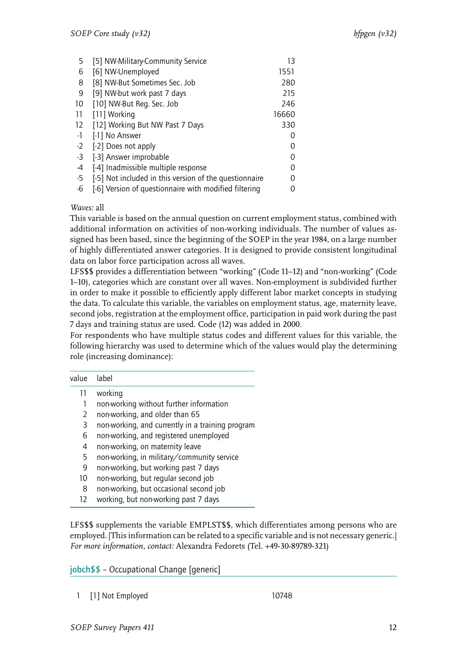| 5    | [5] NW-Military-Community Service                      | 13    |
|------|--------------------------------------------------------|-------|
| 6    | [6] NW-Unemployed                                      | 1551  |
| 8    | [8] NW-But Sometimes Sec. Job                          | 280   |
| 9    | [9] NW-but work past 7 days                            | 215   |
| 10   | [10] NW-But Reg. Sec. Job                              | 246   |
| 11   | [11] Working                                           | 16660 |
| 12   | [12] Working But NW Past 7 Days                        | 330   |
| $-1$ | [-1] No Answer                                         |       |
| $-2$ | [-2] Does not apply                                    | 0     |
| $-3$ | [-3] Answer improbable                                 | 0     |
| $-4$ | [-4] Inadmissible multiple response                    | 0     |
| -5   | [-5] Not included in this version of the questionnaire | ∩     |
| -6   | [-6] Version of questionnaire with modified filtering  | ი     |

This variable is based on the annual question on current employment status, combined with additional information on activities of non-working individuals. The number of values assigned has been based, since the beginning of the SOEP in the year 1984, on a large number of highly differentiated answer categories. It is designed to provide consistent longitudinal data on labor force participation across all waves.

LFS\$\$ provides a differentiation between "working" (Code 11–12) and "non-working" (Code 1–10), categories which are constant over all waves. Non-employment is subdivided further in order to make it possible to efficiently apply different labor market concepts in studying the data. To calculate this variable, the variables on employment status, age, maternity leave, second jobs, registration at the employment office, participation in paid work during the past 7 days and training status are used. Code (12) was added in 2000.

For respondents who have multiple status codes and different values for this variable, the following hierarchy was used to determine which of the values would play the determining role (increasing dominance):

| value | label                                                     |
|-------|-----------------------------------------------------------|
| 11    | working                                                   |
| 1     | non-working without further information                   |
| 2     | non-working, and older than 65                            |
| 3     | non-working, and currently in a training program          |
| 6     | non-working, and registered unemployed                    |
| 4     | non-working, on maternity leave                           |
| 5     | non-working, in military/community service                |
| 9     | non-working, but working past 7 days                      |
| 10    | non-working, but regular second job                       |
| 8     | non-working, but occasional second job                    |
| ר ד   | وربطها لتترك والمحامل والمحاول والمتحام والمستحل والمحارب |

12 working, but non-working past 7 days

LFS\$\$ supplements the variable EMPLST\$\$, which differentiates among persons who are employed. [This information can be related to a specific variable and is not necessary generic.] *For more information, contact:* Alexandra Fedorets (Tel. +49-30-89789-321)

<span id="page-13-0"></span>jobch\$\$ – Occupational Change [generic]

1 [1] Not Employed 10748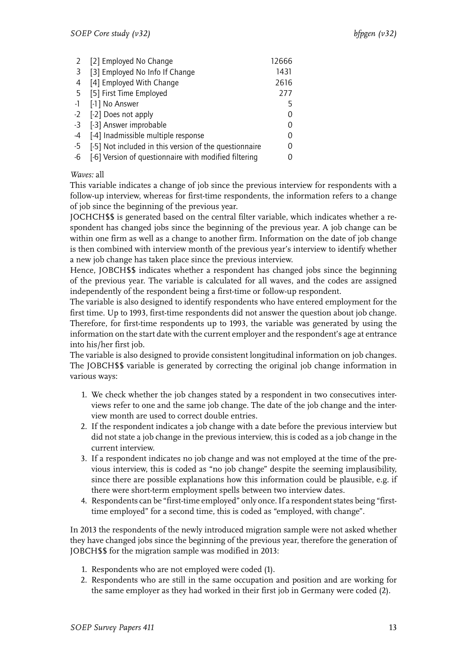| 2    | [2] Employed No Change                                 | 12666 |
|------|--------------------------------------------------------|-------|
| 3    | [3] Employed No Info If Change                         | 1431  |
| 4    | [4] Employed With Change                               | 2616  |
| 5    | [5] First Time Employed                                | 277   |
| -1   | [-1] No Answer                                         | 5     |
| $-2$ | [-2] Does not apply                                    | 0     |
| -3   | [-3] Answer improbable                                 | 0     |
| -4   | [-4] Inadmissible multiple response                    | 0     |
| -5   | [-5] Not included in this version of the questionnaire | 0     |
| -6   | [-6] Version of questionnaire with modified filtering  |       |

This variable indicates a change of job since the previous interview for respondents with a follow-up interview, whereas for first-time respondents, the information refers to a change of job since the beginning of the previous year.

JOCHCH\$\$ is generated based on the central filter variable, which indicates whether a respondent has changed jobs since the beginning of the previous year. A job change can be within one firm as well as a change to another firm. Information on the date of job change is then combined with interview month of the previous year's interview to identify whether a new job change has taken place since the previous interview.

Hence, JOBCH\$\$ indicates whether a respondent has changed jobs since the beginning of the previous year. The variable is calculated for all waves, and the codes are assigned independently of the respondent being a first-time or follow-up respondent.

The variable is also designed to identify respondents who have entered employment for the first time. Up to 1993, first-time respondents did not answer the question about job change. Therefore, for first-time respondents up to 1993, the variable was generated by using the information on the start date with the current employer and the respondent's age at entrance into his/her first job.

The variable is also designed to provide consistent longitudinal information on job changes. The JOBCH\$\$ variable is generated by correcting the original job change information in various ways:

- 1. We check whether the job changes stated by a respondent in two consecutives interviews refer to one and the same job change. The date of the job change and the interview month are used to correct double entries.
- 2. If the respondent indicates a job change with a date before the previous interview but did not state a job change in the previous interview, this is coded as a job change in the current interview.
- 3. If a respondent indicates no job change and was not employed at the time of the previous interview, this is coded as "no job change" despite the seeming implausibility, since there are possible explanations how this information could be plausible, e.g. if there were short-term employment spells between two interview dates.
- 4. Respondents can be "first-time employed" only once. If a respondent states being "firsttime employed" for a second time, this is coded as "employed, with change".

In 2013 the respondents of the newly introduced migration sample were not asked whether they have changed jobs since the beginning of the previous year, therefore the generation of JOBCH\$\$ for the migration sample was modified in 2013:

- 1. Respondents who are not employed were coded (1).
- 2. Respondents who are still in the same occupation and position and are working for the same employer as they had worked in their first job in Germany were coded (2).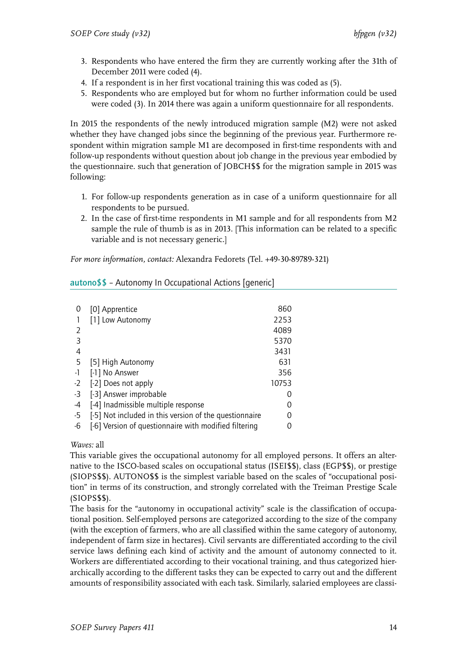- 3. Respondents who have entered the firm they are currently working after the 31th of December 2011 were coded (4).
- 4. If a respondent is in her first vocational training this was coded as (5).
- 5. Respondents who are employed but for whom no further information could be used were coded (3). In 2014 there was again a uniform questionnaire for all respondents.

In 2015 the respondents of the newly introduced migration sample (M2) were not asked whether they have changed jobs since the beginning of the previous year. Furthermore respondent within migration sample M1 are decomposed in first-time respondents with and follow-up respondents without question about job change in the previous year embodied by the questionnaire. such that generation of JOBCH\$\$ for the migration sample in 2015 was following:

- 1. For follow-up respondents generation as in case of a uniform questionnaire for all respondents to be pursued.
- 2. In the case of first-time respondents in M1 sample and for all respondents from M2 sample the rule of thumb is as in 2013. [This information can be related to a specific variable and is not necessary generic.]

*For more information, contact:* Alexandra Fedorets (Tel. +49-30-89789-321)

<span id="page-15-0"></span>

| autono\$\$ - Autonomy In Occupational Actions [generic] |  |  |  |
|---------------------------------------------------------|--|--|--|
|---------------------------------------------------------|--|--|--|

| 0             | [0] Apprentice                                         | 860   |
|---------------|--------------------------------------------------------|-------|
|               | [1] Low Autonomy                                       | 2253  |
| $\mathcal{L}$ |                                                        | 4089  |
| 3             |                                                        | 5370  |
| 4             |                                                        | 3431  |
| 5             | [5] High Autonomy                                      | 631   |
| $-1$          | [-1] No Answer                                         | 356   |
| $-2$          | [-2] Does not apply                                    | 10753 |
| -3            | [-3] Answer improbable                                 |       |
| -4            | [-4] Inadmissible multiple response                    |       |
| -5            | [-5] Not included in this version of the questionnaire |       |
| -6            | [-6] Version of questionnaire with modified filtering  |       |

# *Waves:* all

This variable gives the occupational autonomy for all employed persons. It offers an alternative to the ISCO-based scales on occupational status (ISEI\$\$), class (EGP\$\$), or prestige (SIOPS\$\$). AUTONO\$\$ is the simplest variable based on the scales of "occupational position" in terms of its construction, and strongly correlated with the Treiman Prestige Scale (SIOPS\$\$).

The basis for the "autonomy in occupational activity" scale is the classification of occupational position. Self-employed persons are categorized according to the size of the company (with the exception of farmers, who are all classified within the same category of autonomy, independent of farm size in hectares). Civil servants are differentiated according to the civil service laws defining each kind of activity and the amount of autonomy connected to it. Workers are differentiated according to their vocational training, and thus categorized hierarchically according to the different tasks they can be expected to carry out and the different amounts of responsibility associated with each task. Similarly, salaried employees are classi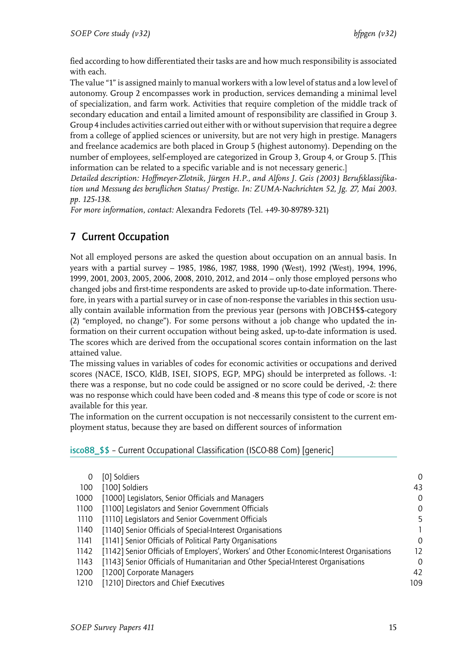fied according to how differentiated their tasks are and how much responsibility is associated with each.

The value "1" is assigned mainly to manual workers with a low level of status and a low level of autonomy. Group 2 encompasses work in production, services demanding a minimal level of specialization, and farm work. Activities that require completion of the middle track of secondary education and entail a limited amount of responsibility are classified in Group 3. Group 4 includes activities carried out either with or without supervision that require a degree from a college of applied sciences or university, but are not very high in prestige. Managers and freelance academics are both placed in Group 5 (highest autonomy). Depending on the number of employees, self-employed are categorized in Group 3, Group 4, or Group 5. [This information can be related to a specific variable and is not necessary generic.]

*Detailed description: Hoffmeyer-Zlotnik, Jürgen H.P., and Alfons J. Geis (2003) Berufsklassifikation und Messung des beruflichen Status/ Prestige. In: ZUMA-Nachrichten 52, Jg. 27, Mai 2003. pp. 125-138.*

*For more information, contact:* Alexandra Fedorets (Tel. +49-30-89789-321)

# <span id="page-16-0"></span>7 Current Occupation

Not all employed persons are asked the question about occupation on an annual basis. In years with a partial survey – 1985, 1986, 1987, 1988, 1990 (West), 1992 (West), 1994, 1996, 1999, 2001, 2003, 2005, 2006, 2008, 2010, 2012, and 2014 – only those employed persons who changed jobs and first-time respondents are asked to provide up-to-date information. Therefore, in years with a partial survey or in case of non-response the variables in this section usually contain available information from the previous year (persons with JOBCH\$\$-category (2) "employed, no change"). For some persons without a job change who updated the information on their current occupation without being asked, up-to-date information is used. The scores which are derived from the occupational scores contain information on the last attained value.

The missing values in variables of codes for economic activities or occupations and derived scores (NACE, ISCO, KldB, ISEI, SIOPS, EGP, MPG) should be interpreted as follows. -1: there was a response, but no code could be assigned or no score could be derived, -2: there was no response which could have been coded and -8 means this type of code or score is not available for this year.

The information on the current occupation is not neccessarily consistent to the current employment status, because they are based on different sources of information

# <span id="page-16-1"></span>isco88\_\$\$ – Current Occupational Classification (ISCO-88 Com) [generic]

| [0] Soldiers                                                                              | 0        |
|-------------------------------------------------------------------------------------------|----------|
| [100] Soldiers                                                                            | 43       |
| [1000] Legislators, Senior Officials and Managers                                         | 0        |
| [1100] Legislators and Senior Government Officials                                        | 0        |
| [1110] Legislators and Senior Government Officials                                        | 5        |
| [1140] Senior Officials of Special-Interest Organisations                                 |          |
| [1141] Senior Officials of Political Party Organisations                                  | $\Omega$ |
| [1142] Senior Officials of Employers', Workers' and Other Economic-Interest Organisations | 12       |
| [1143] Senior Officials of Humanitarian and Other Special-Interest Organisations          | 0        |
| [1200] Corporate Managers                                                                 | 42       |
| [1210] Directors and Chief Executives                                                     | 109      |
|                                                                                           |          |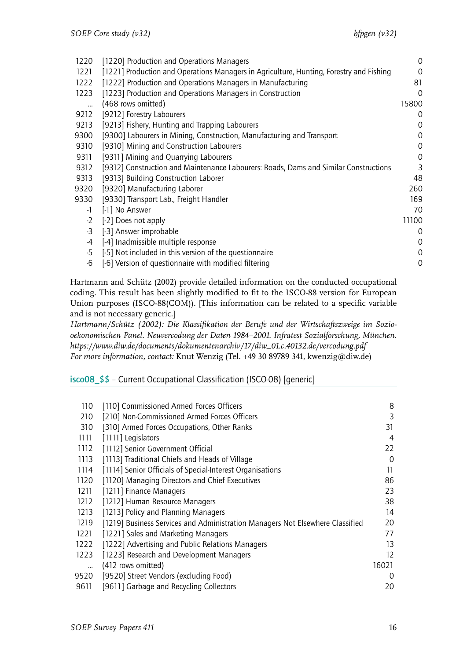| 0                                                                                                                                                                               |
|---------------------------------------------------------------------------------------------------------------------------------------------------------------------------------|
| $\Omega$                                                                                                                                                                        |
| 81                                                                                                                                                                              |
| $\Omega$                                                                                                                                                                        |
| 15800                                                                                                                                                                           |
| 0                                                                                                                                                                               |
| 0                                                                                                                                                                               |
| 0                                                                                                                                                                               |
| 0                                                                                                                                                                               |
| 0                                                                                                                                                                               |
| 3                                                                                                                                                                               |
| 48                                                                                                                                                                              |
| 260                                                                                                                                                                             |
| 169                                                                                                                                                                             |
| 70                                                                                                                                                                              |
| 11100                                                                                                                                                                           |
| 0                                                                                                                                                                               |
| 0                                                                                                                                                                               |
| 0                                                                                                                                                                               |
| 0                                                                                                                                                                               |
| [1221] Production and Operations Managers in Agriculture, Hunting, Forestry and Fishing<br>[9312] Construction and Maintenance Labourers: Roads, Dams and Similar Constructions |

Hartmann and Schütz (2002) provide detailed information on the conducted occupational coding. This result has been slightly modified to fit to the ISCO-88 version for European Union purposes (ISCO-88(COM)). [This information can be related to a specific variable and is not necessary generic.]

*Hartmann/Schütz (2002): Die Klassifikation der Berufe und der Wirtschaftszweige im Soziooekonomischen Panel. Neuvercodung der Daten 1984–2001. Infratest Sozialforschung, München. https://www.diw.de/documents/dokumentenarchiv/17/diw\_01.c.40132.de/vercodung.pdf For more information, contact:* Knut Wenzig (Tel. +49 30 89789 341, kwenzig@diw.de)

<span id="page-17-0"></span>isco08\_\$\$ – Current Occupational Classification (ISCO-08) [generic]

| 110  | [110] Commissioned Armed Forces Officers                                      | 8        |
|------|-------------------------------------------------------------------------------|----------|
| 210  | [210] Non-Commissioned Armed Forces Officers                                  | 3        |
| 310  | [310] Armed Forces Occupations, Other Ranks                                   | 31       |
| 1111 | [1111] Legislators                                                            | 4        |
| 1112 | [1112] Senior Government Official                                             | 22       |
| 1113 | [1113] Traditional Chiefs and Heads of Village                                | $\Omega$ |
| 1114 | [1114] Senior Officials of Special-Interest Organisations                     | 11       |
| 1120 | [1120] Managing Directors and Chief Executives                                | 86       |
| 1211 | [1211] Finance Managers                                                       | 23       |
| 1212 | [1212] Human Resource Managers                                                | 38       |
| 1213 | [1213] Policy and Planning Managers                                           | 14       |
| 1219 | [1219] Business Services and Administration Managers Not Elsewhere Classified | 20       |
| 1221 | [1221] Sales and Marketing Managers                                           | 77       |
| 1222 | [1222] Advertising and Public Relations Managers                              | 13       |
| 1223 | [1223] Research and Development Managers                                      | 12       |
|      | (412 rows omitted)                                                            | 16021    |
| 9520 | [9520] Street Vendors (excluding Food)                                        | 0        |
| 9611 | [9611] Garbage and Recycling Collectors                                       | 20       |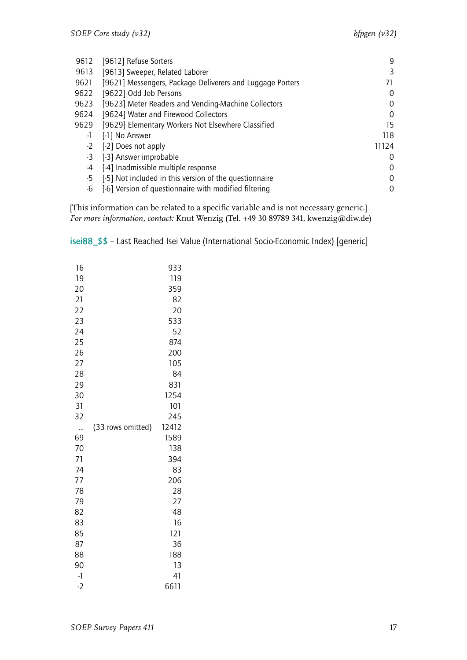| 9612 | [9612] Refuse Sorters                                     | 9     |
|------|-----------------------------------------------------------|-------|
| 9613 | [9613] Sweeper, Related Laborer                           | 3     |
| 9621 | [9621] Messengers, Package Deliverers and Luggage Porters | 71    |
| 9622 | [9622] Odd Job Persons                                    | 0     |
| 9623 | [9623] Meter Readers and Vending-Machine Collectors       | 0     |
| 9624 | [9624] Water and Firewood Collectors                      | 0     |
| 9629 | [9629] Elementary Workers Not Elsewhere Classified        | 15    |
| -1   | [-1] No Answer                                            | 118   |
| $-2$ | [-2] Does not apply                                       | 11124 |
| -3   | [-3] Answer improbable                                    | 0     |
| -4   | [-4] Inadmissible multiple response                       | 0     |
| -5   | [-5] Not included in this version of the questionnaire    | 0     |
| -6   | [-6] Version of questionnaire with modified filtering     | 0     |

[This information can be related to a specific variable and is not necessary generic.] *For more information, contact:* Knut Wenzig (Tel. +49 30 89789 341, kwenzig@diw.de)

| 16   |                   | 933   |
|------|-------------------|-------|
| 19   |                   | 119   |
| 20   |                   | 359   |
| 21   |                   | 82    |
| 22   |                   | 20    |
| 23   |                   | 533   |
| 24   |                   | 52    |
| 25   |                   | 874   |
| 26   |                   | 200   |
| 27   |                   | 105   |
| 28   |                   | 84    |
| 29   |                   | 831   |
| 30   |                   | 1254  |
| 31   |                   | 101   |
| 32   |                   | 245   |
|      | (33 rows omitted) | 12412 |
| 69   |                   | 1589  |
| 70   |                   | 138   |
| 71   |                   | 394   |
| 74   |                   | 83    |
| 77   |                   | 206   |
| 78   |                   | 28    |
| 79   |                   | 27    |
| 82   |                   | 48    |
| 83   |                   | 16    |
| 85   |                   | 121   |
| 87   |                   | 36    |
| 88   |                   | 188   |
| 90   |                   | 13    |
| $-1$ |                   | 41    |
| $-2$ |                   | 6611  |

<span id="page-18-0"></span>isei88\_\$\$ – Last Reached Isei Value (International Socio-Economic Index) [generic]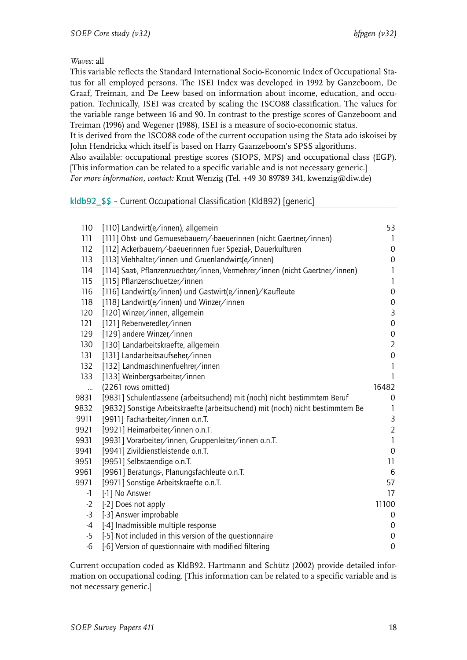This variable reflects the Standard International Socio-Economic Index of Occupational Status for all employed persons. The ISEI Index was developed in 1992 by Ganzeboom, De Graaf, Treiman, and De Leew based on information about income, education, and occupation. Technically, ISEI was created by scaling the ISCO88 classification. The values for the variable range between 16 and 90. In contrast to the prestige scores of Ganzeboom and Treiman (1996) and Wegener (1988), ISEI is a measure of socio-economic status.

It is derived from the ISCO88 code of the current occupation using the Stata ado iskoisei by John Hendrickx which itself is based on Harry Gaanzeboom's SPSS algorithms.

Also available: occupational prestige scores (SIOPS, MPS) and occupational class (EGP). [This information can be related to a specific variable and is not necessary generic.]

*For more information, contact:* Knut Wenzig (Tel. +49 30 89789 341, kwenzig@diw.de)

# <span id="page-19-0"></span>kldb92\_\$\$ – Current Occupational Classification (KldB92) [generic]

| 110  | [110] Landwirt(e/innen), allgemein                                            | 53               |
|------|-------------------------------------------------------------------------------|------------------|
| 111  | [111] Obst- und Gemuesebauern/-baeuerinnen (nicht Gaertner/innen)             | 1                |
| 112  | [112] Ackerbauern/-baeuerinnen fuer Spezial-, Dauerkulturen                   | 0                |
| 113  | [113] Viehhalter/innen und Gruenlandwirt(e/innen)                             | $\mathbf 0$      |
| 114  | [114] Saat-, Pflanzenzuechter/innen, Vermehrer/innen (nicht Gaertner/innen)   | 1                |
| 115  | [115] Pflanzenschuetzer/innen                                                 | 1                |
| 116  | [116] Landwirt(e/innen) und Gastwirt(e/innen)/Kaufleute                       | $\mathbf 0$      |
| 118  | [118] Landwirt(e/innen) und Winzer/innen                                      | 0                |
| 120  | [120] Winzer/innen, allgemein                                                 | $\mathsf{3}$     |
| 121  | [121] Rebenveredler/innen                                                     | 0                |
| 129  | [129] andere Winzer/innen                                                     | $\boldsymbol{0}$ |
| 130  | [130] Landarbeitskraefte, allgemein                                           | $\overline{2}$   |
| 131  | [131] Landarbeitsaufseher/innen                                               | $\mbox{O}$       |
| 132  | [132] Landmaschinenfuehrer/innen                                              | 1                |
| 133  | [133] Weinbergsarbeiter/innen                                                 | 1                |
| u.   | (2261 rows omitted)                                                           | 16482            |
| 9831 | [9831] Schulentlassene (arbeitsuchend) mit (noch) nicht bestimmtem Beruf      | 0                |
| 9832 | [9832] Sonstige Arbeitskraefte (arbeitsuchend) mit (noch) nicht bestimmtem Be | 1                |
| 9911 | [9911] Facharbeiter/innen o.n.T.                                              | 3                |
| 9921 | [9921] Heimarbeiter/innen o.n.T.                                              | $\overline{2}$   |
| 9931 | [9931] Vorarbeiter/innen, Gruppenleiter/innen o.n.T.                          | 1                |
| 9941 | [9941] Zivildienstleistende o.n.T.                                            | $\mathbf 0$      |
| 9951 | [9951] Selbstaendige o.n.T.                                                   | 11               |
| 9961 | [9961] Beratungs-, Planungsfachleute o.n.T.                                   | $6\,$            |
| 9971 | [9971] Sonstige Arbeitskraefte o.n.T.                                         | 57               |
| $-1$ | [-1] No Answer                                                                | 17               |
| $-2$ | [-2] Does not apply                                                           | 11100            |
| $-3$ | [-3] Answer improbable                                                        | 0                |
| -4   | [-4] Inadmissible multiple response                                           | 0                |
| $-5$ | [-5] Not included in this version of the questionnaire                        | 0                |
| -6   | [-6] Version of questionnaire with modified filtering                         | $\mathbf 0$      |

Current occupation coded as KldB92. Hartmann and Schütz (2002) provide detailed information on occupational coding. [This information can be related to a specific variable and is not necessary generic.]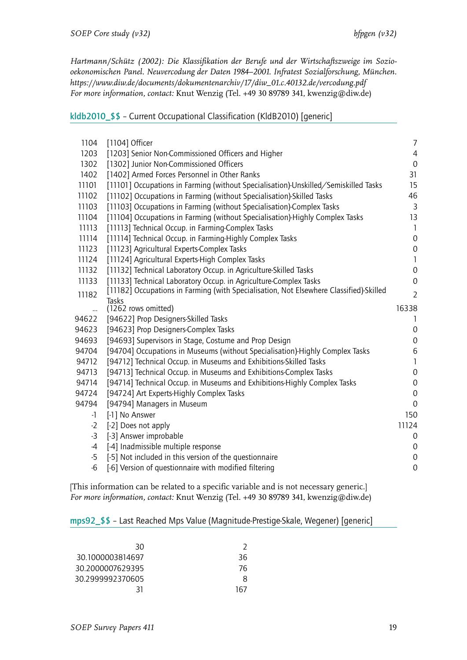*Hartmann/Schütz (2002): Die Klassifikation der Berufe und der Wirtschaftszweige im Soziooekonomischen Panel. Neuvercodung der Daten 1984–2001. Infratest Sozialforschung, München. https://www.diw.de/documents/dokumentenarchiv/17/diw\_01.c.40132.de/vercodung.pdf For more information, contact:* Knut Wenzig (Tel. +49 30 89789 341, kwenzig@diw.de)

<span id="page-20-0"></span>kldb2010\_\$\$ – Current Occupational Classification (KldB2010) [generic]

| 1104      | [1104] Officer                                                                         | $\overline{7}$   |
|-----------|----------------------------------------------------------------------------------------|------------------|
| 1203      | [1203] Senior Non-Commissioned Officers and Higher                                     | $\overline{4}$   |
| 1302      | [1302] Junior Non-Commissioned Officers                                                | $\boldsymbol{0}$ |
| 1402      | [1402] Armed Forces Personnel in Other Ranks                                           | 31               |
| 11101     | [11101] Occupations in Farming (without Specialisation)-Unskilled/Semiskilled Tasks    | 15               |
| 11102     | [11102] Occupations in Farming (without Specialisation)-Skilled Tasks                  | 46               |
| 11103     | [11103] Occupations in Farming (without Specialisation)-Complex Tasks                  | $\overline{3}$   |
| 11104     | [11104] Occupations in Farming (without Specialisation)-Highly Complex Tasks           | 13               |
| 11113     | [11113] Technical Occup. in Farming-Complex Tasks                                      | $\mathbf{1}$     |
| 11114     | [11114] Technical Occup. in Farming-Highly Complex Tasks                               | $\mathbf 0$      |
| 11123     | [11123] Agricultural Experts-Complex Tasks                                             | $\boldsymbol{0}$ |
| 11124     | [11124] Agricultural Experts-High Complex Tasks                                        | $\mathbf{1}$     |
| 11132     | [11132] Technical Laboratory Occup. in Agriculture-Skilled Tasks                       | $\boldsymbol{0}$ |
| 11133     | [11133] Technical Laboratory Occup. in Agriculture-Complex Tasks                       | $\mathbf 0$      |
| 11182     | [11182] Occupations in Farming (with Specialisation, Not Elsewhere Classified)-Skilled | $\overline{2}$   |
|           | Tasks                                                                                  |                  |
| <br>94622 | (1262 rows omitted)                                                                    | 16338<br>1       |
| 94623     | [94622] Prop Designers-Skilled Tasks<br>[94623] Prop Designers-Complex Tasks           | $\boldsymbol{0}$ |
| 94693     | [94693] Supervisors in Stage, Costume and Prop Design                                  | $\boldsymbol{0}$ |
| 94704     |                                                                                        |                  |
|           | [94704] Occupations in Museums (without Specialisation)-Highly Complex Tasks           | $\,6$            |
| 94712     | [94712] Technical Occup. in Museums and Exhibitions-Skilled Tasks                      | 1                |
| 94713     | [94713] Technical Occup. in Museums and Exhibitions-Complex Tasks                      | $\mathbf 0$      |
| 94714     | [94714] Technical Occup. in Museums and Exhibitions-Highly Complex Tasks               | 0                |
| 94724     | [94724] Art Experts-Highly Complex Tasks                                               | $\boldsymbol{0}$ |
| 94794     | [94794] Managers in Museum                                                             | $\Omega$         |
| -1        | [-1] No Answer                                                                         | 150              |
| $-2$      | [-2] Does not apply                                                                    | 11124            |
| $-3$      | [-3] Answer improbable                                                                 | 0                |
| $-4$      | [-4] Inadmissible multiple response                                                    | $\mathbf 0$      |
| $-5$      | [-5] Not included in this version of the questionnaire                                 | $\boldsymbol{0}$ |
| $-6$      | [-6] Version of questionnaire with modified filtering                                  | $\mathbf 0$      |

[This information can be related to a specific variable and is not necessary generic.] *For more information, contact:* Knut Wenzig (Tel. +49 30 89789 341, kwenzig@diw.de)

## <span id="page-20-1"></span>mps92\_\$\$ – Last Reached Mps Value (Magnitude-Prestige-Skale, Wegener) [generic]

| 30               |     |
|------------------|-----|
| 30.1000003814697 | 36  |
| 30.2000007629395 | 76  |
| 30.2999992370605 | Χ   |
| 31               | 167 |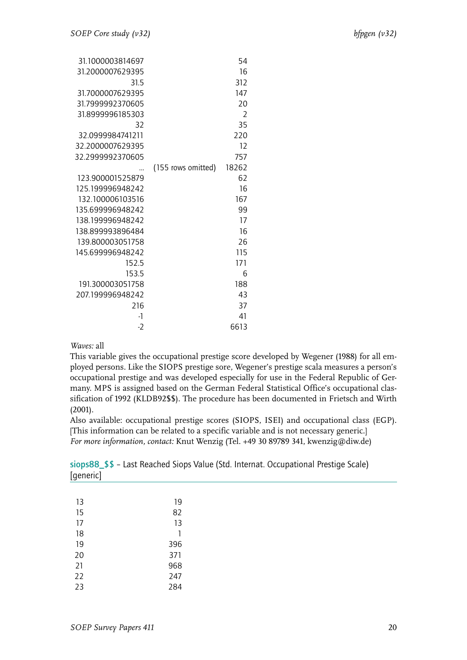| 31.1000003814697 |                    | 54            |
|------------------|--------------------|---------------|
| 31.2000007629395 |                    | 16            |
| 31.5             |                    | 312           |
| 31.7000007629395 |                    | 147           |
| 31.7999992370605 |                    | 20            |
| 31.8999996185303 |                    | $\mathcal{P}$ |
| 32               |                    | 35            |
| 32.0999984741211 |                    | 220           |
| 32.2000007629395 |                    | 12            |
| 32.2999992370605 |                    | 757           |
|                  | (155 rows omitted) | 18262         |
| 123.900001525879 |                    | 62            |
| 125 199996948242 |                    | 16            |
| 132.100006103516 |                    | 167           |
| 135.699996948242 |                    | 99            |
| 138.199996948242 |                    | 17            |
| 138.899993896484 |                    | 16            |
| 139.800003051758 |                    | 26            |
| 145.699996948242 |                    | 115           |
| 152.5            |                    | 171           |
| 153.5            |                    | 6             |
| 191.300003051758 |                    | 188           |
| 207.199996948242 |                    | 43            |
| 216              |                    | 37            |
| -1               |                    | 41            |
| $-2$             |                    | 6613          |

This variable gives the occupational prestige score developed by Wegener (1988) for all employed persons. Like the SIOPS prestige sore, Wegener's prestige scala measures a person's occupational prestige and was developed especially for use in the Federal Republic of Germany. MPS is assigned based on the German Federal Statistical Office's occupational classification of 1992 (KLDB92\$\$). The procedure has been documented in Frietsch and Wirth (2001).

Also available: occupational prestige scores (SIOPS, ISEI) and occupational class (EGP). [This information can be related to a specific variable and is not necessary generic.] *For more information, contact:* Knut Wenzig (Tel. +49 30 89789 341, kwenzig@diw.de)

<span id="page-21-0"></span>siops88\_\$\$ – Last Reached Siops Value (Std. Internat. Occupational Prestige Scale) [generic]

| 13 | 19  |
|----|-----|
| 15 | 82  |
| 17 | 13  |
| 18 | 1   |
| 19 | 396 |
| 20 | 371 |
| 21 | 968 |
| 22 | 247 |
| 23 | 284 |
|    |     |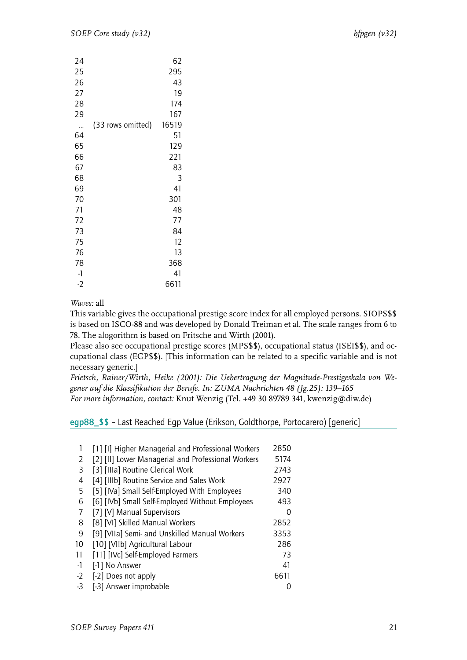| 24   |                   | 62    |
|------|-------------------|-------|
| 25   |                   | 295   |
| 26   |                   | 43    |
| 27   |                   | 19    |
| 28   |                   | 174   |
| 29   |                   | 167   |
|      | (33 rows omitted) | 16519 |
| 64   |                   | 51    |
| 65   |                   | 129   |
| 66   |                   | 221   |
| 67   |                   | 83    |
| 68   |                   | 3     |
| 69   |                   | 41    |
| 70   |                   | 301   |
| 71   |                   | 48    |
| 72   |                   | 77    |
| 73   |                   | 84    |
| 75   |                   | 12    |
| 76   |                   | 13    |
| 78   |                   | 368   |
| $-1$ |                   | 41    |
| $-2$ |                   | 6611  |

This variable gives the occupational prestige score index for all employed persons. SIOPS\$\$ is based on ISCO-88 and was developed by Donald Treiman et al. The scale ranges from 6 to 78. The alogorithm is based on Fritsche and Wirth (2001).

Please also see occupational prestige scores (MPS\$\$), occupational status (ISEI\$\$), and occupational class (EGP\$\$). [This information can be related to a specific variable and is not necessary generic.]

*Frietsch, Rainer/Wirth, Heike (2001): Die Uebertragung der Magnitude-Prestigeskala von Wegener auf die Klassifikation der Berufe. In: ZUMA Nachrichten 48 (Jg.25): 139–165 For more information, contact:* Knut Wenzig (Tel. +49 30 89789 341, kwenzig@diw.de)

# <span id="page-22-0"></span>egp88\_\$\$ – Last Reached Egp Value (Erikson, Goldthorpe, Portocarero) [generic]

|      | [1] [I] Higher Managerial and Professional Workers | 2850 |
|------|----------------------------------------------------|------|
| 2    | [2] [II] Lower Managerial and Professional Workers | 5174 |
| 3    | [3] [IIIa] Routine Clerical Work                   | 2743 |
| 4    | [4] [IIIb] Routine Service and Sales Work          | 2927 |
| 5    | [5] [IVa] Small Self-Employed With Employees       | 340  |
| 6    | [6] [IVb] Small Self-Employed Without Employees    | 493  |
| 7    | [7] [V] Manual Supervisors                         | 0    |
| 8    | [8] [VI] Skilled Manual Workers                    | 2852 |
| 9    | [9] [VIIa] Semi- and Unskilled Manual Workers      | 3353 |
| 10   | [10] [VIIb] Agricultural Labour                    | 286  |
| 11   | [11] [IVc] Self-Employed Farmers                   | 73   |
| $-1$ | [-1] No Answer                                     | 41   |
| $-2$ | [-2] Does not apply                                | 6611 |
| $-3$ | [-3] Answer improbable                             |      |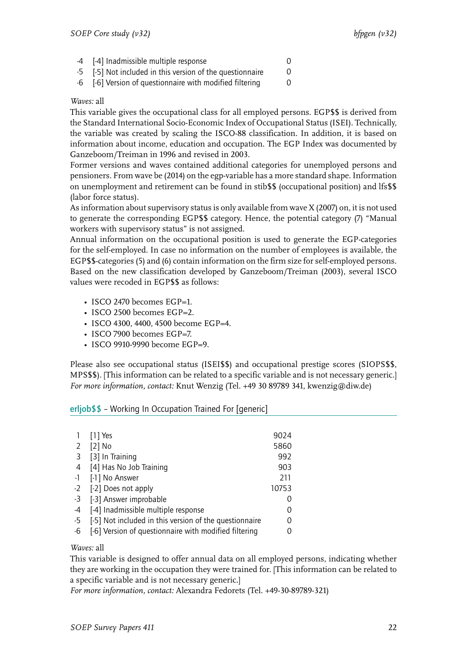- -4 [-4] Inadmissible multiple response 0
- -5 [-5] Not included in this version of the questionnaire 0
- -6 [-6] Version of questionnaire with modified filtering 0

This variable gives the occupational class for all employed persons. EGP\$\$ is derived from the Standard International Socio-Economic Index of Occupational Status (ISEI). Technically, the variable was created by scaling the ISCO-88 classification. In addition, it is based on information about income, education and occupation. The EGP Index was documented by Ganzeboom/Treiman in 1996 and revised in 2003.

Former versions and waves contained additional categories for unemployed persons and pensioners. From wave be (2014) on the egp-variable has a more standard shape. Information on unemployment and retirement can be found in stib\$\$ (occupational position) and lfs\$\$ (labor force status).

As information about supervisory status is only available from wave X (2007) on, it is not used to generate the corresponding EGP\$\$ category. Hence, the potential category (7) "Manual workers with supervisory status" is not assigned.

Annual information on the occupational position is used to generate the EGP-categories for the self-employed. In case no information on the number of employees is available, the EGP\$\$-categories (5) and (6) contain information on the firm size for self-employed persons. Based on the new classification developed by Ganzeboom/Treiman (2003), several ISCO values were recoded in EGP\$\$ as follows:

- ISCO 2470 becomes EGP=1.
- ISCO 2500 becomes EGP=2.
- ISCO 4300, 4400, 4500 become EGP=4.
- ISCO 7900 becomes EGP=7.
- ISCO 9910-9990 become EGP=9.

Please also see occupational status (ISEI\$\$) and occupational prestige scores (SIOPS\$\$, MPS\$\$). [This information can be related to a specific variable and is not necessary generic.] *For more information, contact:* Knut Wenzig (Tel. +49 30 89789 341, kwenzig@diw.de)

## <span id="page-23-0"></span>erljob\$\$ – Working In Occupation Trained For [generic]

|      | $[1]$ Yes                                              | 9024  |
|------|--------------------------------------------------------|-------|
| 2    | $[2]$ No                                               | 5860  |
| 3    | [3] In Training                                        | 992   |
| 4    | [4] Has No Job Training                                | 903   |
| $-1$ | [-1] No Answer                                         | 211   |
|      | -2 [-2] Does not apply                                 | 10753 |
| $-3$ | [-3] Answer improbable                                 |       |
| -4   | [-4] Inadmissible multiple response                    | 0     |
| -5   | [-5] Not included in this version of the questionnaire |       |
| -6   | [-6] Version of questionnaire with modified filtering  |       |

## *Waves:* all

This variable is designed to offer annual data on all employed persons, indicating whether they are working in the occupation they were trained for. [This information can be related to a specific variable and is not necessary generic.]

*For more information, contact:* Alexandra Fedorets (Tel. +49-30-89789-321)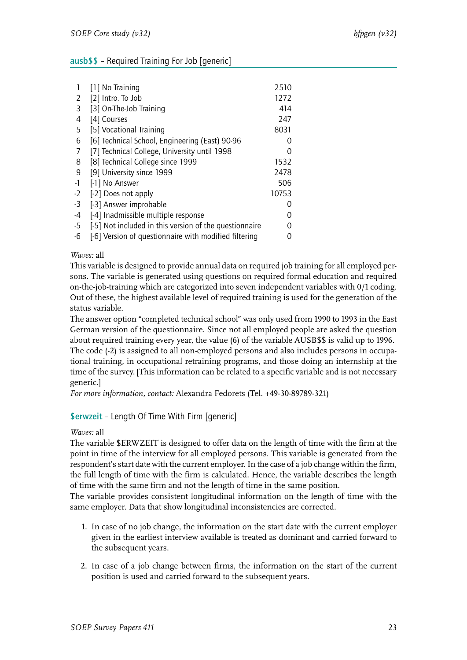# <span id="page-24-0"></span>ausb\$\$ – Required Training For Job [generic]

|      | [1] No Training                                        | 2510             |
|------|--------------------------------------------------------|------------------|
| 2    | [2] Intro. To Job                                      | 1272             |
| 3    | [3] On-The-Job Training                                | 414              |
| 4    | [4] Courses                                            | 247              |
| 5    | [5] Vocational Training                                | 8031             |
| 6    | [6] Technical School, Engineering (East) 90-96         | $\left( \right)$ |
| 7    | [7] Technical College, University until 1998           |                  |
| 8    | [8] Technical College since 1999                       | 1532             |
| 9    | [9] University since 1999                              | 2478             |
| -1   | [-1] No Answer                                         | 506              |
| $-2$ | [-2] Does not apply                                    | 10753            |
| -3   | [-3] Answer improbable                                 | $\left( \right)$ |
| -4   | [-4] Inadmissible multiple response                    |                  |
| -5   | [-5] Not included in this version of the questionnaire |                  |
| -6   | [-6] Version of questionnaire with modified filtering  |                  |

#### *Waves:* all

This variable is designed to provide annual data on required job training for all employed persons. The variable is generated using questions on required formal education and required on-the-job-training which are categorized into seven independent variables with 0/1 coding. Out of these, the highest available level of required training is used for the generation of the status variable.

The answer option "completed technical school" was only used from 1990 to 1993 in the East German version of the questionnaire. Since not all employed people are asked the question about required training every year, the value (6) of the variable AUSB\$\$ is valid up to 1996. The code (-2) is assigned to all non-employed persons and also includes persons in occupational training, in occupational retraining programs, and those doing an internship at the time of the survey. [This information can be related to a specific variable and is not necessary generic.]

*For more information, contact:* Alexandra Fedorets (Tel. +49-30-89789-321)

## <span id="page-24-1"></span>\$erwzeit – Length Of Time With Firm [generic]

## *Waves:* all

The variable \$ERWZEIT is designed to offer data on the length of time with the firm at the point in time of the interview for all employed persons. This variable is generated from the respondent's start date with the current employer. In the case of a job change within the firm, the full length of time with the firm is calculated. Hence, the variable describes the length of time with the same firm and not the length of time in the same position.

The variable provides consistent longitudinal information on the length of time with the same employer. Data that show longitudinal inconsistencies are corrected.

- 1. In case of no job change, the information on the start date with the current employer given in the earliest interview available is treated as dominant and carried forward to the subsequent years.
- 2. In case of a job change between firms, the information on the start of the current position is used and carried forward to the subsequent years.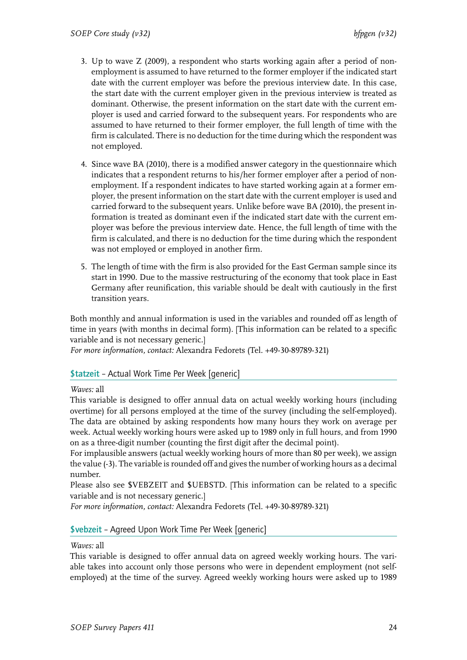- 3. Up to wave Z (2009), a respondent who starts working again after a period of nonemployment is assumed to have returned to the former employer if the indicated start date with the current employer was before the previous interview date. In this case, the start date with the current employer given in the previous interview is treated as dominant. Otherwise, the present information on the start date with the current employer is used and carried forward to the subsequent years. For respondents who are assumed to have returned to their former employer, the full length of time with the firm is calculated. There is no deduction for the time during which the respondent was not employed.
- 4. Since wave BA (2010), there is a modified answer category in the questionnaire which indicates that a respondent returns to his/her former employer after a period of nonemployment. If a respondent indicates to have started working again at a former employer, the present information on the start date with the current employer is used and carried forward to the subsequent years. Unlike before wave BA (2010), the present information is treated as dominant even if the indicated start date with the current employer was before the previous interview date. Hence, the full length of time with the firm is calculated, and there is no deduction for the time during which the respondent was not employed or employed in another firm.
- 5. The length of time with the firm is also provided for the East German sample since its start in 1990. Due to the massive restructuring of the economy that took place in East Germany after reunification, this variable should be dealt with cautiously in the first transition years.

Both monthly and annual information is used in the variables and rounded off as length of time in years (with months in decimal form). [This information can be related to a specific variable and is not necessary generic.]

*For more information, contact:* Alexandra Fedorets (Tel. +49-30-89789-321)

## <span id="page-25-0"></span>\$tatzeit – Actual Work Time Per Week [generic]

*Waves:* all

This variable is designed to offer annual data on actual weekly working hours (including overtime) for all persons employed at the time of the survey (including the self-employed). The data are obtained by asking respondents how many hours they work on average per week. Actual weekly working hours were asked up to 1989 only in full hours, and from 1990 on as a three-digit number (counting the first digit after the decimal point).

For implausible answers (actual weekly working hours of more than 80 per week), we assign the value (-3). The variable is rounded off and gives the number of working hours as a decimal number.

Please also see \$VEBZEIT and \$UEBSTD. [This information can be related to a specific variable and is not necessary generic.]

*For more information, contact:* Alexandra Fedorets (Tel. +49-30-89789-321)

## <span id="page-25-1"></span>\$vebzeit – Agreed Upon Work Time Per Week [generic]

*Waves:* all

This variable is designed to offer annual data on agreed weekly working hours. The variable takes into account only those persons who were in dependent employment (not selfemployed) at the time of the survey. Agreed weekly working hours were asked up to 1989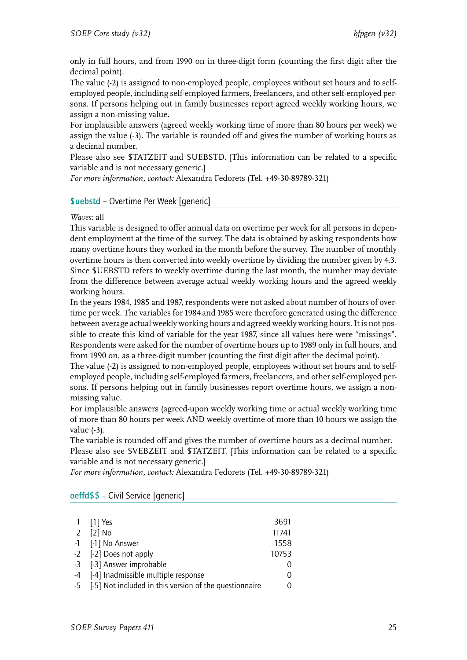only in full hours, and from 1990 on in three-digit form (counting the first digit after the decimal point).

The value (-2) is assigned to non-employed people, employees without set hours and to selfemployed people, including self-employed farmers, freelancers, and other self-employed persons. If persons helping out in family businesses report agreed weekly working hours, we assign a non-missing value.

For implausible answers (agreed weekly working time of more than 80 hours per week) we assign the value (-3). The variable is rounded off and gives the number of working hours as a decimal number.

Please also see \$TATZEIT and \$UEBSTD. [This information can be related to a specific variable and is not necessary generic.]

*For more information, contact:* Alexandra Fedorets (Tel. +49-30-89789-321)

# <span id="page-26-0"></span>\$uebstd – Overtime Per Week [generic]

## *Waves:* all

This variable is designed to offer annual data on overtime per week for all persons in dependent employment at the time of the survey. The data is obtained by asking respondents how many overtime hours they worked in the month before the survey. The number of monthly overtime hours is then converted into weekly overtime by dividing the number given by 4.3. Since \$UEBSTD refers to weekly overtime during the last month, the number may deviate from the difference between average actual weekly working hours and the agreed weekly working hours.

In the years 1984, 1985 and 1987, respondents were not asked about number of hours of overtime per week. The variables for 1984 and 1985 were therefore generated using the difference between average actual weekly working hours and agreed weekly working hours. It is not possible to create this kind of variable for the year 1987, since all values here were "missings". Respondents were asked for the number of overtime hours up to 1989 only in full hours, and from 1990 on, as a three-digit number (counting the first digit after the decimal point).

The value (-2) is assigned to non-employed people, employees without set hours and to selfemployed people, including self-employed farmers, freelancers, and other self-employed persons. If persons helping out in family businesses report overtime hours, we assign a nonmissing value.

For implausible answers (agreed-upon weekly working time or actual weekly working time of more than 80 hours per week AND weekly overtime of more than 10 hours we assign the value (-3).

The variable is rounded off and gives the number of overtime hours as a decimal number.

Please also see \$VEBZEIT and \$TATZEIT. [This information can be related to a specific variable and is not necessary generic.]

*For more information, contact:* Alexandra Fedorets (Tel. +49-30-89789-321)

| 1 [1] Yes                                                 | 3691     |
|-----------------------------------------------------------|----------|
| 2 [2] No                                                  | 11741    |
| -1 [-1] No Answer                                         | 1558     |
| -2 [-2] Does not apply                                    | 10753    |
| -3 [-3] Answer improbable                                 |          |
| -4 [-4] Inadmissible multiple response                    | $\left($ |
| -5 [-5] Not included in this version of the questionnaire |          |

## <span id="page-26-1"></span>oeffd\$\$ – Civil Service [generic]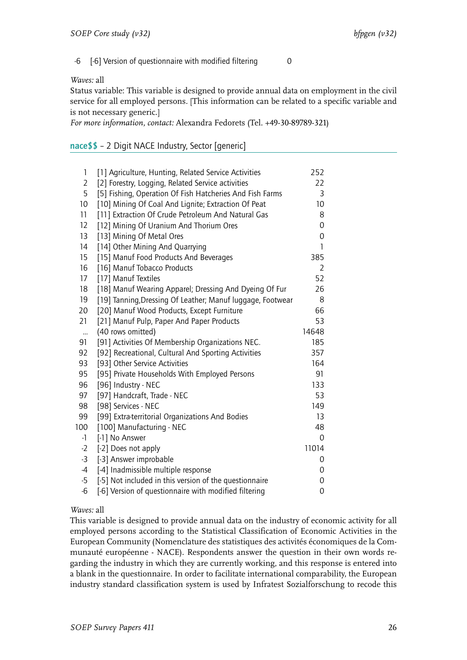-6 [-6] Version of questionnaire with modified filtering 0

*Waves:* all

Status variable: This variable is designed to provide annual data on employment in the civil service for all employed persons. [This information can be related to a specific variable and is not necessary generic.]

*For more information, contact:* Alexandra Fedorets (Tel. +49-30-89789-321)

# nace\$\$ – 2 Digit NACE Industry, Sector [generic]

| 1               | [1] Agriculture, Hunting, Related Service Activities       | 252              |
|-----------------|------------------------------------------------------------|------------------|
| 2               | [2] Forestry, Logging, Related Service activities          | 22               |
| 5               | [5] Fishing, Operation Of Fish Hatcheries And Fish Farms   | 3                |
| 10 <sup>1</sup> | [10] Mining Of Coal And Lignite; Extraction Of Peat        | 10 <sup>10</sup> |
| 11              | [11] Extraction Of Crude Petroleum And Natural Gas         | 8                |
| 12              | [12] Mining Of Uranium And Thorium Ores                    | $\overline{0}$   |
| 13              | [13] Mining Of Metal Ores                                  | 0                |
| 14              | [14] Other Mining And Quarrying                            | 1                |
| 15              | [15] Manuf Food Products And Beverages                     | 385              |
| 16              | [16] Manuf Tobacco Products                                | $\overline{2}$   |
| 17              | [17] Manuf Textiles                                        | 52               |
| 18              | [18] Manuf Wearing Apparel; Dressing And Dyeing Of Fur     | 26               |
| 19              | [19] Tanning, Dressing Of Leather; Manuf luggage, Footwear | 8                |
| 20              | [20] Manuf Wood Products, Except Furniture                 | 66               |
| 21              | [21] Manuf Pulp, Paper And Paper Products                  | 53               |
| $\ddotsc$       | (40 rows omitted)                                          | 14648            |
| 91              | [91] Activities Of Membership Organizations NEC.           | 185              |
| 92              | [92] Recreational, Cultural And Sporting Activities        | 357              |
| 93              | [93] Other Service Activities                              | 164              |
| 95              | [95] Private Households With Employed Persons              | 91               |
| 96              | [96] Industry - NEC                                        | 133              |
| 97              | [97] Handcraft, Trade - NEC                                | 53               |
| 98              | [98] Services - NEC                                        | 149              |
| 99              | [99] Extra-territorial Organizations And Bodies            | 13               |
| 100             | [100] Manufacturing - NEC                                  | 48               |
| -1              | [-1] No Answer                                             | 0                |
| $-2$            | [-2] Does not apply                                        | 11014            |
| $-3$            | [-3] Answer improbable                                     | 0                |
| $-4$            | [-4] Inadmissible multiple response                        | 0                |
| $-5$            | [-5] Not included in this version of the questionnaire     | 0                |
| $-6$            | [-6] Version of questionnaire with modified filtering      | 0                |

## *Waves:* all

This variable is designed to provide annual data on the industry of economic activity for all employed persons according to the Statistical Classification of Economic Activities in the European Community (Nomenclature des statistiques des activités économiques de la Communauté européenne - NACE). Respondents answer the question in their own words regarding the industry in which they are currently working, and this response is entered into a blank in the questionnaire. In order to facilitate international comparability, the European industry standard classification system is used by Infratest Sozialforschung to recode this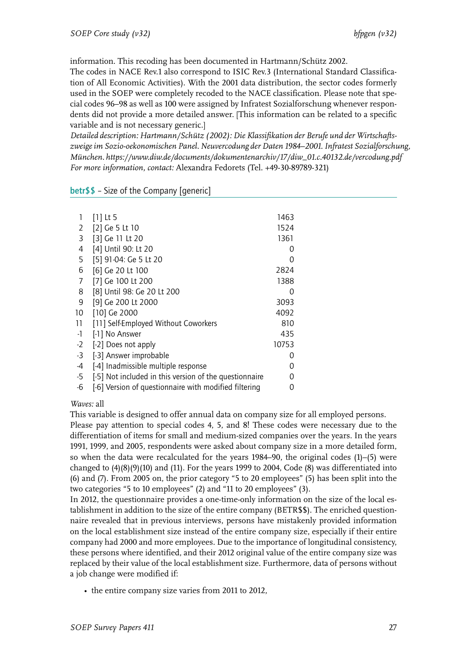information. This recoding has been documented in Hartmann/Schütz 2002.

The codes in NACE Rev.1 also correspond to ISIC Rev.3 (International Standard Classification of All Economic Activities). With the 2001 data distribution, the sector codes formerly used in the SOEP were completely recoded to the NACE classification. Please note that special codes 96–98 as well as 100 were assigned by Infratest Sozialforschung whenever respondents did not provide a more detailed answer. [This information can be related to a specific variable and is not necessary generic.]

*Detailed description: Hartmann/Schütz (2002): Die Klassifikation der Berufe und der Wirtschaftszweige im Sozio-oekonomischen Panel. Neuvercodung der Daten 1984–2001. Infratest Sozialforschung, München. https://www.diw.de/documents/dokumentenarchiv/17/diw\_01.c.40132.de/vercodung.pdf For more information, contact:* Alexandra Fedorets (Tel. +49-30-89789-321)

| 1    | $[1]$ Lt 5                                             | 1463             |  |
|------|--------------------------------------------------------|------------------|--|
| 2    | [2] Ge 5 Lt 10                                         | 1524             |  |
| 3    | [3] Ge 11 Lt 20                                        | 1361             |  |
| 4    | [4] Until 90: Lt 20                                    | $\Omega$         |  |
| 5    | [5] 91-04: Ge 5 Lt 20                                  | O                |  |
| 6    | [6] Ge 20 Lt 100                                       | 2824             |  |
| 7    | [7] Ge 100 Lt 200                                      | 1388             |  |
| 8    | [8] Until 98: Ge 20 Lt 200                             | 0                |  |
| 9    | [9] Ge 200 Lt 2000                                     | 3093             |  |
| 10   | [10] Ge 2000                                           | 4092             |  |
| 11   | [11] Self-Employed Without Coworkers                   | 810              |  |
| $-1$ | [-1] No Answer                                         | 435              |  |
| $-2$ | [-2] Does not apply                                    | 10753            |  |
| $-3$ | [-3] Answer improbable                                 | $\left( \right)$ |  |
| -4   | [-4] Inadmissible multiple response                    | 0                |  |
| $-5$ | [-5] Not included in this version of the questionnaire |                  |  |
| -6   | [-6] Version of questionnaire with modified filtering  | O                |  |
|      |                                                        |                  |  |

# betr\$\$ – Size of the Company [generic]

*Waves:* all

This variable is designed to offer annual data on company size for all employed persons.

Please pay attention to special codes 4, 5, and 8! These codes were necessary due to the differentiation of items for small and medium-sized companies over the years. In the years 1991, 1999, and 2005, respondents were asked about company size in a more detailed form, so when the data were recalculated for the years 1984–90, the original codes (1)–(5) were changed to (4)(8)(9)(10) and (11). For the years 1999 to 2004, Code (8) was differentiated into (6) and (7). From 2005 on, the prior category "5 to 20 employees" (5) has been split into the two categories "5 to 10 employees" (2) and "11 to 20 employees" (3).

In 2012, the questionnaire provides a one-time-only information on the size of the local establishment in addition to the size of the entire company (BETR\$\$). The enriched questionnaire revealed that in previous interviews, persons have mistakenly provided information on the local establishment size instead of the entire company size, especially if their entire company had 2000 and more employees. Due to the importance of longitudinal consistency, these persons where identified, and their 2012 original value of the entire company size was replaced by their value of the local establishment size. Furthermore, data of persons without a job change were modified if:

• the entire company size varies from 2011 to 2012,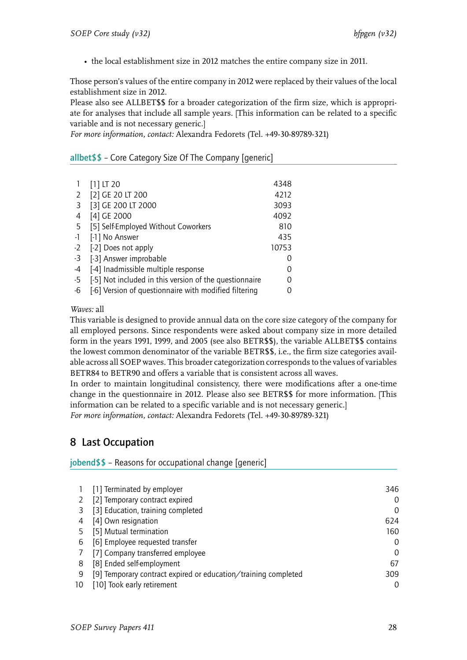• the local establishment size in 2012 matches the entire company size in 2011.

Those person's values of the entire company in 2012 were replaced by their values of the local establishment size in 2012.

Please also see ALLBET\$\$ for a broader categorization of the firm size, which is appropriate for analyses that include all sample years. [This information can be related to a specific variable and is not necessary generic.]

*For more information, contact:* Alexandra Fedorets (Tel. +49-30-89789-321)

# <span id="page-29-0"></span>allbet\$\$ – Core Category Size Of The Company [generic]

|      | $[1]$ LT 20                                            | 4348  |
|------|--------------------------------------------------------|-------|
| 2    | [2] GE 20 LT 200                                       | 4212  |
| 3    | [3] GE 200 LT 2000                                     | 3093  |
| 4    | [4] GE 2000                                            | 4092  |
| -5   | [5] Self-Employed Without Coworkers                    | 810   |
| $-1$ | [-1] No Answer                                         | 435   |
| $-2$ | [-2] Does not apply                                    | 10753 |
| $-3$ | [-3] Answer improbable                                 |       |
| -4   | [-4] Inadmissible multiple response                    |       |
| $-5$ | [-5] Not included in this version of the questionnaire |       |
| -6   | [-6] Version of questionnaire with modified filtering  |       |

*Waves:* all

This variable is designed to provide annual data on the core size category of the company for all employed persons. Since respondents were asked about company size in more detailed form in the years 1991, 1999, and 2005 (see also BETR\$\$), the variable ALLBET\$\$ contains the lowest common denominator of the variable BETR\$\$, i.e., the firm size categories available across all SOEP waves. This broader categorization corresponds to the values of variables BETR84 to BETR90 and offers a variable that is consistent across all waves.

In order to maintain longitudinal consistency, there were modifications after a one-time change in the questionnaire in 2012. Please also see BETR\$\$ for more information. [This information can be related to a specific variable and is not necessary generic.] *For more information, contact:* Alexandra Fedorets (Tel. +49-30-89789-321)

# <span id="page-29-1"></span>8 Last Occupation

# <span id="page-29-2"></span> $jobend$ \$ – Reasons for occupational change [generic]

|    | [1] Terminated by employer                                     | 346      |
|----|----------------------------------------------------------------|----------|
|    | [2] Temporary contract expired                                 | 0        |
|    | [3] Education, training completed                              | 0        |
|    | [4] Own resignation                                            | 624      |
|    | [5] Mutual termination                                         | 160      |
| 6  | [6] Employee requested transfer                                | $\Omega$ |
|    | [7] Company transferred employee                               | $\Omega$ |
| 8  | [8] Ended self-employment                                      | 67       |
| 9  | [9] Temporary contract expired or education/training completed | 309      |
| 10 | [10] Took early retirement                                     | 0        |
|    |                                                                |          |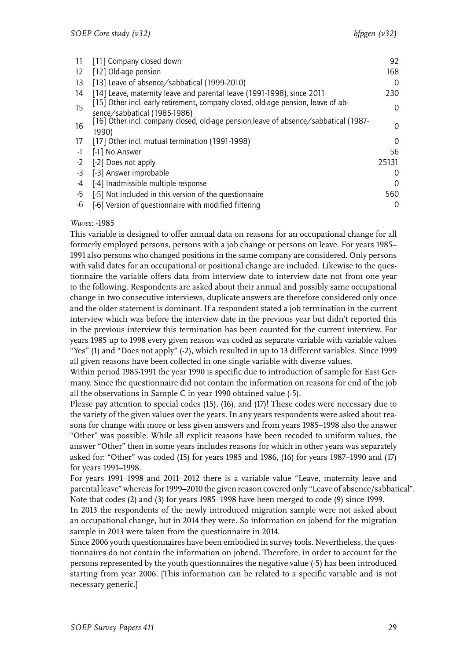| 11                | [11] Company closed down                                                             | 92    |
|-------------------|--------------------------------------------------------------------------------------|-------|
| $12 \overline{ }$ | [12] Old-age pension                                                                 | 168   |
| 13                | [13] Leave of absence/sabbatical (1999-2010)                                         | 0     |
| 14                | [14] Leave, maternity leave and parental leave (1991-1998), since 2011               | 230   |
| 15                | [15] Other incl. early retirement, company closed, old-age pension, leave of ab-     | 0     |
|                   | sence/sabbatical (1985-1986)                                                         |       |
| 16                | [16] Other incl. company closed, old-age pension, leave of absence/sabbatical (1987- | 0     |
|                   | 1990)                                                                                |       |
| 17                | [17] Other incl. mutual termination (1991-1998)                                      | 0     |
| $-1$              | [-1] No Answer                                                                       | 56    |
| $-2$              | [-2] Does not apply                                                                  | 25131 |
| $-3$              | [-3] Answer improbable                                                               | 0     |
| -4                | [-4] Inadmissible multiple response                                                  | 0     |
| -5                | [-5] Not included in this version of the questionnaire                               | 560   |
| -6                | [-6] Version of questionnaire with modified filtering                                | 0     |

This variable is designed to offer annual data on reasons for an occupational change for all formerly employed persons, persons with a job change or persons on leave. For years 1985– 1991 also persons who changed positions in the same company are considered. Only persons with valid dates for an occupational or positional change are included. Likewise to the questionnaire the variable offers data from interview date to interview date not from one year to the following. Respondents are asked about their annual and possibly same occupational change in two consecutive interviews, duplicate answers are therefore considered only once and the older statement is dominant. If a respondent stated a job termination in the current interview which was before the interview date in the previous year but didn't reported this in the previous interview this termination has been counted for the current interview. For years 1985 up to 1998 every given reason was coded as separate variable with variable values "Yes" (1) and "Does not apply" (-2), which resulted in up to 13 different variables. Since 1999 all given reasons have been collected in one single variable with diverse values.

Within period 1985-1991 the year 1990 is specific due to introduction of sample for East Germany. Since the questionnaire did not contain the information on reasons for end of the job all the observations in Sample C in year 1990 obtained value (-5).

Please pay attention to special codes (15), (16), and (17)! These codes were necessary due to the variety of the given values over the years. In any years respondents were asked about reasons for change with more or less given answers and from years 1985–1998 also the answer "Other" was possible. While all explicit reasons have been recoded to uniform values, the answer "Other" then in some years includes reasons for which in other years was separately asked for: "Other" was coded (15) for years 1985 and 1986, (16) for years 1987–1990 and (17) for years 1991–1998.

For years 1991–1998 and 2011–2012 there is a variable value "Leave, maternity leave and parental leave" whereas for 1999–2010 the given reason covered only "Leave of absence/sabbatical". Note that codes (2) and (3) for years 1985–1998 have been merged to code (9) since 1999. In 2013 the respondents of the newly introduced migration sample were not asked about an occupational change, but in 2014 they were. So information on jobend for the migration sample in 2013 were taken from the questionnaire in 2014.

Since 2006 youth questionnaires have been embodied in survey tools. Nevertheless, the questionnaires do not contain the information on jobend. Therefore, in order to account for the persons represented by the youth questionnaires the negative value (-5) has been introduced starting from year 2006. [This information can be related to a specific variable and is not necessary generic.]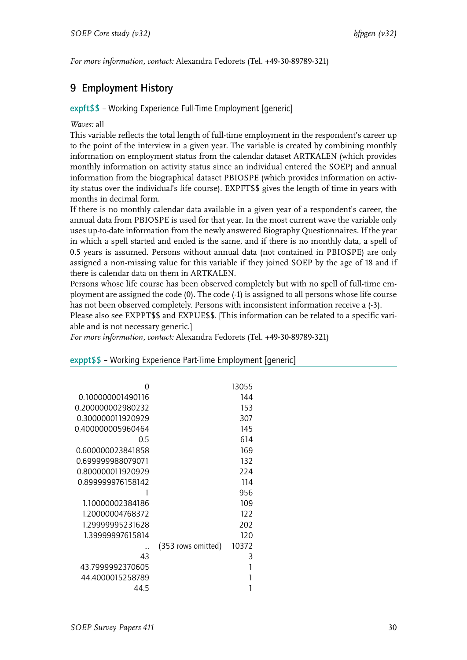*For more information, contact:* Alexandra Fedorets (Tel. +49-30-89789-321)

# <span id="page-31-0"></span>9 Employment History

# <span id="page-31-1"></span>expft\$\$ – Working Experience Full-Time Employment [generic]

## *Waves:* all

This variable reflects the total length of full-time employment in the respondent's career up to the point of the interview in a given year. The variable is created by combining monthly information on employment status from the calendar dataset ARTKALEN (which provides monthly information on activity status since an individual entered the SOEP) and annual information from the biographical dataset PBIOSPE (which provides information on activity status over the individual's life course). EXPFT\$\$ gives the length of time in years with months in decimal form.

If there is no monthly calendar data available in a given year of a respondent's career, the annual data from PBIOSPE is used for that year. In the most current wave the variable only uses up-to-date information from the newly answered Biography Questionnaires. If the year in which a spell started and ended is the same, and if there is no monthly data, a spell of 0.5 years is assumed. Persons without annual data (not contained in PBIOSPE) are only assigned a non-missing value for this variable if they joined SOEP by the age of 18 and if there is calendar data on them in ARTKALEN.

Persons whose life course has been observed completely but with no spell of full-time employment are assigned the code (0). The code (-1) is assigned to all persons whose life course has not been observed completely. Persons with inconsistent information receive a (-3).

Please also see EXPPT\$\$ and EXPUE\$\$. [This information can be related to a specific variable and is not necessary generic.]

*For more information, contact:* Alexandra Fedorets (Tel. +49-30-89789-321)

|                   |                    | 13055 |
|-------------------|--------------------|-------|
| 0.100000001490116 |                    | 144   |
| 0.200000002980232 |                    | 153   |
| 0.300000011920929 |                    | 307   |
| 0.400000005960464 |                    | 145   |
| 0.5               |                    | 614   |
| 0.600000023841858 |                    | 169   |
| 0.699999988079071 |                    | 132   |
| 0.800000011920929 |                    | 224   |
| 0.899999976158142 |                    | 114   |
|                   |                    | 956   |
| 1.10000002384186  |                    | 109   |
| 1.20000004768372  |                    | 122   |
| 1.29999995231628  |                    | 202   |
| 1.39999997615814  |                    | 120   |
|                   | (353 rows omitted) | 10372 |
| 43                |                    | 3     |
| 43.7999992370605  |                    | 1     |
| 44.4000015258789  |                    |       |
| 44 5              |                    |       |
|                   |                    |       |

<span id="page-31-2"></span>exppt\$\$ – Working Experience Part-Time Employment [generic]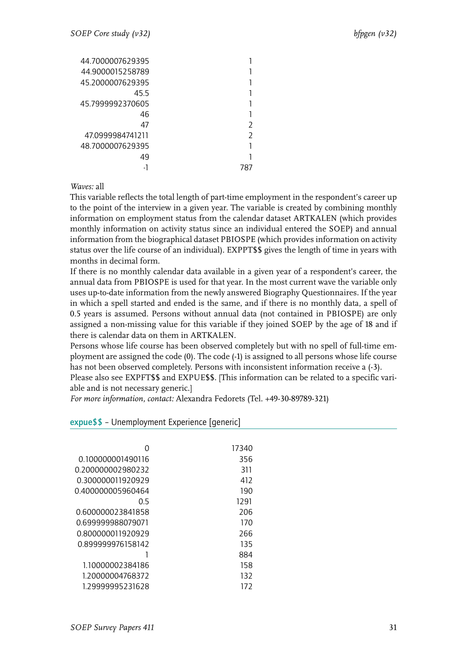| C |  |
|---|--|
|   |  |
|   |  |
|   |  |
|   |  |

This variable reflects the total length of part-time employment in the respondent's career up to the point of the interview in a given year. The variable is created by combining monthly information on employment status from the calendar dataset ARTKALEN (which provides monthly information on activity status since an individual entered the SOEP) and annual information from the biographical dataset PBIOSPE (which provides information on activity status over the life course of an individual). EXPPT\$\$ gives the length of time in years with months in decimal form.

If there is no monthly calendar data available in a given year of a respondent's career, the annual data from PBIOSPE is used for that year. In the most current wave the variable only uses up-to-date information from the newly answered Biography Questionnaires. If the year in which a spell started and ended is the same, and if there is no monthly data, a spell of 0.5 years is assumed. Persons without annual data (not contained in PBIOSPE) are only assigned a non-missing value for this variable if they joined SOEP by the age of 18 and if there is calendar data on them in ARTKALEN.

Persons whose life course has been observed completely but with no spell of full-time employment are assigned the code (0). The code (-1) is assigned to all persons whose life course has not been observed completely. Persons with inconsistent information receive a (-3).

Please also see EXPFT\$\$ and EXPUE\$\$. [This information can be related to a specific variable and is not necessary generic.]

*For more information, contact:* Alexandra Fedorets (Tel. +49-30-89789-321)

## <span id="page-32-0"></span>expue\$\$ – Unemployment Experience [generic]

| 0                 | 17340 |
|-------------------|-------|
| 0.100000001490116 | 356   |
| 0.200000002980232 | 311   |
| 0.300000011920929 | 412   |
| 0.400000005960464 | 190   |
| 0 5               | 1291  |
| 0.600000023841858 | 206   |
| 0.699999988079071 | 170   |
| 0.800000011920929 | 266   |
| 0.899999976158142 | 135   |
|                   | 884   |
| 1.10000002384186  | 158   |
| 1.20000004768372  | 132   |
| 129999995231628   | 172   |
|                   |       |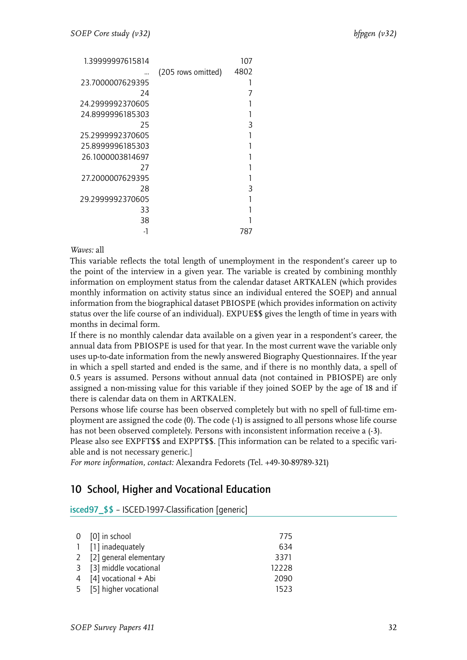| 1.39999997615814 |                    | 107  |
|------------------|--------------------|------|
|                  | (205 rows omitted) | 4802 |
| 23.7000007629395 |                    |      |
| 24               |                    |      |
| 24.2999992370605 |                    |      |
| 24.8999996185303 |                    |      |
| 25               |                    | 3    |
| 25.2999992370605 |                    |      |
| 25.8999996185303 |                    |      |
| 26.1000003814697 |                    |      |
| 27               |                    |      |
| 27.2000007629395 |                    |      |
| 28               |                    | 3    |
| 29.2999992370605 |                    |      |
| 33               |                    |      |
| 38               |                    |      |
|                  |                    | 787  |

This variable reflects the total length of unemployment in the respondent's career up to the point of the interview in a given year. The variable is created by combining monthly information on employment status from the calendar dataset ARTKALEN (which provides monthly information on activity status since an individual entered the SOEP) and annual information from the biographical dataset PBIOSPE (which provides information on activity status over the life course of an individual). EXPUE\$\$ gives the length of time in years with months in decimal form.

If there is no monthly calendar data available on a given year in a respondent's career, the annual data from PBIOSPE is used for that year. In the most current wave the variable only uses up-to-date information from the newly answered Biography Questionnaires. If the year in which a spell started and ended is the same, and if there is no monthly data, a spell of 0.5 years is assumed. Persons without annual data (not contained in PBIOSPE) are only assigned a non-missing value for this variable if they joined SOEP by the age of 18 and if there is calendar data on them in ARTKALEN.

Persons whose life course has been observed completely but with no spell of full-time employment are assigned the code (0). The code (-1) is assigned to all persons whose life course has not been observed completely. Persons with inconsistent information receive a (-3).

Please also see EXPFT\$\$ and EXPPT\$\$. [This information can be related to a specific variable and is not necessary generic.]

*For more information, contact:* Alexandra Fedorets (Tel. +49-30-89789-321)

# <span id="page-33-0"></span>10 School, Higher and Vocational Education

<span id="page-33-1"></span>isced97\_\$\$ – ISCED-1997-Classification [generic]

| $0$ [0] in school        | 775   |
|--------------------------|-------|
| 1 [1] inadequately       | 634   |
| 2 [2] general elementary | 3371  |
| 3 [3] middle vocational  | 12228 |
| 4 [4] vocational + Abi   | 2090  |
| 5 [5] higher vocational  | 1523  |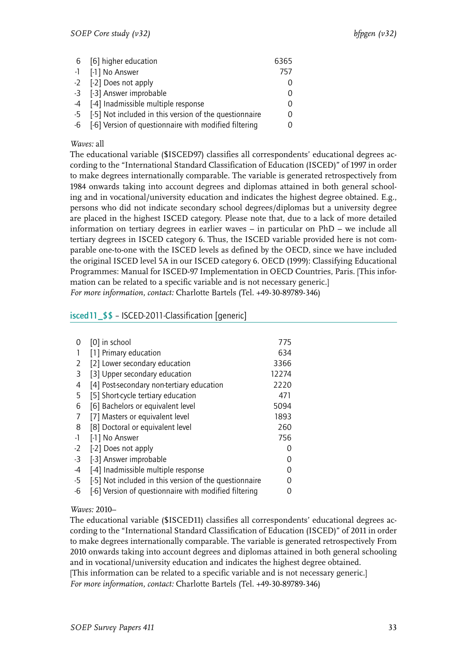| 6 [6] higher education                                    | 6365     |
|-----------------------------------------------------------|----------|
| -1 [-1] No Answer                                         | 757      |
| -2 [-2] Does not apply                                    |          |
| -3 [-3] Answer improbable                                 | $\left($ |
| -4 [-4] Inadmissible multiple response                    |          |
| -5 [-5] Not included in this version of the questionnaire |          |
| -6 [-6] Version of questionnaire with modified filtering  |          |

The educational variable (\$ISCED97) classifies all correspondents' educational degrees according to the "International Standard Classification of Education (ISCED)" of 1997 in order to make degrees internationally comparable. The variable is generated retrospectively from 1984 onwards taking into account degrees and diplomas attained in both general schooling and in vocational/university education and indicates the highest degree obtained. E.g., persons who did not indicate secondary school degrees/diplomas but a university degree are placed in the highest ISCED category. Please note that, due to a lack of more detailed information on tertiary degrees in earlier waves – in particular on PhD – we include all tertiary degrees in ISCED category 6. Thus, the ISCED variable provided here is not comparable one-to-one with the ISCED levels as defined by the OECD, since we have included the original ISCED level 5A in our ISCED category 6. OECD (1999): Classifying Educational Programmes: Manual for ISCED-97 Implementation in OECD Countries, Paris. [This information can be related to a specific variable and is not necessary generic.] *For more information, contact:* Charlotte Bartels (Tel. +49-30-89789-346)

# <span id="page-34-0"></span>isced11\_\$\$ – ISCED-2011-Classification [generic]

| 0    | [0] in school                                          | 775   |
|------|--------------------------------------------------------|-------|
|      | [1] Primary education                                  | 634   |
| 2    | [2] Lower secondary education                          | 3366  |
| 3    | [3] Upper secondary education                          | 12274 |
| 4    | [4] Post-secondary non-tertiary education              | 2220  |
| 5    | [5] Short-cycle tertiary education                     | 471   |
| 6    | [6] Bachelors or equivalent level                      | 5094  |
| 7    | [7] Masters or equivalent level                        | 1893  |
| 8    | [8] Doctoral or equivalent level                       | 260   |
| -1   | [-1] No Answer                                         | 756   |
| $-2$ | [-2] Does not apply                                    | Ω     |
| -3   | [-3] Answer improbable                                 | Ω     |
| -4   | [-4] Inadmissible multiple response                    | Ω     |
| -5   | [-5] Not included in this version of the questionnaire | O     |
| -6   | [-6] Version of questionnaire with modified filtering  |       |

# *Waves:* 2010–

The educational variable (\$ISCED11) classifies all correspondents' educational degrees according to the "International Standard Classification of Education (ISCED)" of 2011 in order to make degrees internationally comparable. The variable is generated retrospectively From 2010 onwards taking into account degrees and diplomas attained in both general schooling and in vocational/university education and indicates the highest degree obtained. [This information can be related to a specific variable and is not necessary generic.] *For more information, contact:* Charlotte Bartels (Tel. +49-30-89789-346)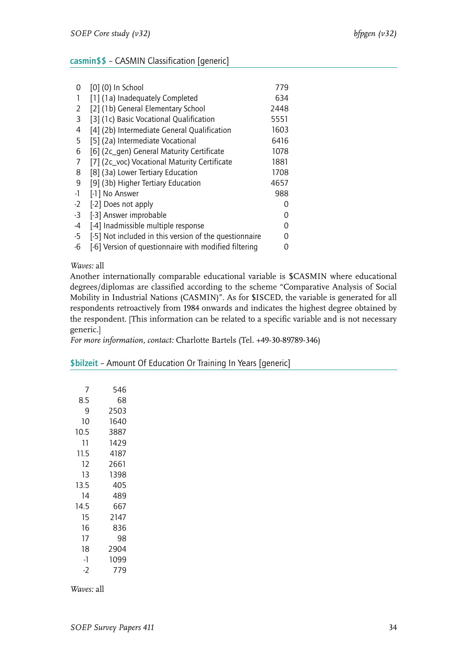# <span id="page-35-0"></span>casmin\$\$ – CASMIN Classification [generic]

| 0    | [0] (0) In School                                      | 779  |
|------|--------------------------------------------------------|------|
|      | [1] (1a) Inadequately Completed                        | 634  |
| 2    | [2] (1b) General Elementary School                     | 2448 |
| 3    | [3] (1c) Basic Vocational Qualification                | 5551 |
| 4    | [4] (2b) Intermediate General Qualification            | 1603 |
| 5    | [5] (2a) Intermediate Vocational                       | 6416 |
| 6    | [6] (2c_gen) General Maturity Certificate              | 1078 |
| 7    | [7] (2c_voc) Vocational Maturity Certificate           | 1881 |
| 8    | [8] (3a) Lower Tertiary Education                      | 1708 |
| 9    | [9] (3b) Higher Tertiary Education                     | 4657 |
| -1   | [-1] No Answer                                         | 988  |
| $-2$ | [-2] Does not apply                                    | 0    |
| $-3$ | [-3] Answer improbable                                 | 0    |
| -4   | [-4] Inadmissible multiple response                    | O    |
| $-5$ | [-5] Not included in this version of the questionnaire | O    |
| -6   | [-6] Version of questionnaire with modified filtering  | O    |
|      |                                                        |      |

#### *Waves:* all

Another internationally comparable educational variable is \$CASMIN where educational degrees/diplomas are classified according to the scheme "Comparative Analysis of Social Mobility in Industrial Nations (CASMIN)". As for \$ISCED, the variable is generated for all respondents retroactively from 1984 onwards and indicates the highest degree obtained by the respondent. [This information can be related to a specific variable and is not necessary generic.]

*For more information, contact:* Charlotte Bartels (Tel. +49-30-89789-346)

#### <span id="page-35-1"></span>\$bilzeit – Amount Of Education Or Training In Years [generic]

| 7    | 546  |
|------|------|
| 8.5  | 68   |
| 9    | 2503 |
| 10   | 1640 |
| 10.5 | 3887 |
| 11   | 1429 |
| 11.5 | 4187 |
| 12   | 2661 |
| 13   | 1398 |
| 13.5 | 405  |
| 14   | 489  |
| 14.5 | 667  |
| 15   | 2147 |
| 16   | 836  |
| 17   | 98   |
| 18   | 2904 |
| -1   | 1099 |
| -2   | 779  |

*Waves:* all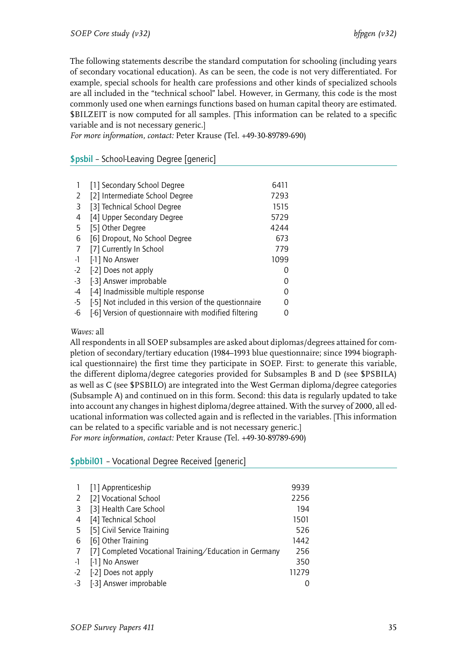The following statements describe the standard computation for schooling (including years of secondary vocational education). As can be seen, the code is not very differentiated. For example, special schools for health care professions and other kinds of specialized schools are all included in the "technical school" label. However, in Germany, this code is the most commonly used one when earnings functions based on human capital theory are estimated. \$BILZEIT is now computed for all samples. [This information can be related to a specific variable and is not necessary generic.]

*For more information, contact:* Peter Krause (Tel. +49-30-89789-690)

# <span id="page-36-0"></span>\$psbil – School-Leaving Degree [generic]

|      | [1] Secondary School Degree                            | 6411 |
|------|--------------------------------------------------------|------|
| 2    | [2] Intermediate School Degree                         | 7293 |
| 3    | [3] Technical School Degree                            | 1515 |
| 4    | [4] Upper Secondary Degree                             | 5729 |
| 5    | [5] Other Degree                                       | 4244 |
| 6    | [6] Dropout, No School Degree                          | 673  |
| 7    | [7] Currently In School                                | 779  |
| -1   | [-1] No Answer                                         | 1099 |
| $-2$ | [-2] Does not apply                                    |      |
| -3   | [-3] Answer improbable                                 |      |
| -4   | [-4] Inadmissible multiple response                    |      |
| -5   | [-5] Not included in this version of the questionnaire |      |
| -6   | [-6] Version of questionnaire with modified filtering  |      |

# *Waves:* all

All respondents in all SOEP subsamples are asked about diplomas/degrees attained for completion of secondary/tertiary education (1984–1993 blue questionnaire; since 1994 biographical questionnaire) the first time they participate in SOEP. First: to generate this variable, the different diploma/degree categories provided for Subsamples B and D (see \$PSBILA) as well as C (see \$PSBILO) are integrated into the West German diploma/degree categories (Subsample A) and continued on in this form. Second: this data is regularly updated to take into account any changes in highest diploma/degree attained. With the survey of 2000, all educational information was collected again and is reflected in the variables. [This information can be related to a specific variable and is not necessary generic.] *For more information, contact:* Peter Krause (Tel. +49-30-89789-690)

## <span id="page-36-1"></span>\$pbbil01 – Vocational Degree Received [generic]

|      | [1] Apprenticeship                                     | 9939  |
|------|--------------------------------------------------------|-------|
| 2    | [2] Vocational School                                  | 2256  |
| 3    | [3] Health Care School                                 | 194   |
| 4    | [4] Technical School                                   | 1501  |
| -5   | [5] Civil Service Training                             | 526   |
| 6    | [6] Other Training                                     | 1442  |
| 7    | [7] Completed Vocational Training/Education in Germany | 256   |
| $-1$ | [-1] No Answer                                         | 350   |
| $-2$ | [-2] Does not apply                                    | 11279 |
| -3   | [-3] Answer improbable                                 |       |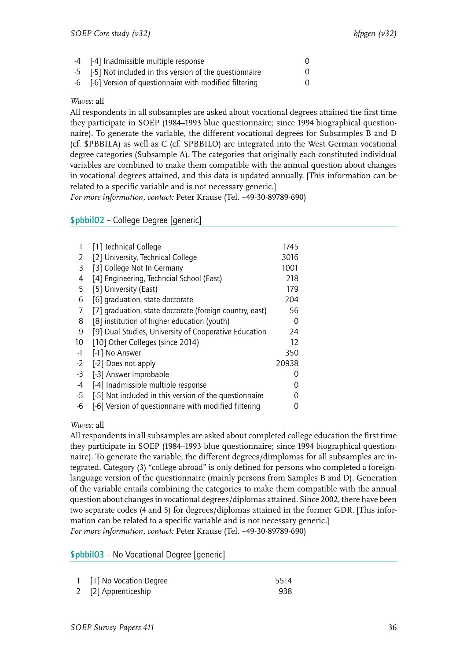| -4 [-4] Inadmissible multiple response                    |  |
|-----------------------------------------------------------|--|
| -5 [-5] Not included in this version of the questionnaire |  |
| -6 [-6] Version of questionnaire with modified filtering  |  |

All respondents in all subsamples are asked about vocational degrees attained the first time they participate in SOEP (1984–1993 blue questionnaire; since 1994 biographical questionnaire). To generate the variable, the different vocational degrees for Subsamples B and D (cf. \$PBBILA) as well as C (cf. \$PBBILO) are integrated into the West German vocational degree categories (Subsample A). The categories that originally each constituted individual variables are combined to make them compatible with the annual question about changes in vocational degrees attained, and this data is updated annually. [This information can be related to a specific variable and is not necessary generic.]

*For more information, contact:* Peter Krause (Tel. +49-30-89789-690)

# <span id="page-37-0"></span>\$pbbil02 – College Degree [generic]

|      | [1] Technical College                                   | 1745  |
|------|---------------------------------------------------------|-------|
| 2    | [2] University, Technical College                       | 3016  |
| 3    | [3] College Not In Germany                              | 1001  |
| 4    | [4] Engineering, Techncial School (East)                | 218   |
| 5    | [5] University (East)                                   | 179   |
| 6    | [6] graduation, state doctorate                         | 204   |
| 7    | [7] graduation, state doctorate (foreign country, east) | 56    |
| 8    | [8] institution of higher education (youth)             | 0     |
| 9    | [9] Dual Studies, University of Cooperative Education   | 24    |
| 10   | [10] Other Colleges (since 2014)                        | 12    |
| -1   | [-1] No Answer                                          | 350   |
| $-2$ | [-2] Does not apply                                     | 20938 |
| -3   | [-3] Answer improbable                                  |       |
| -4   | [-4] Inadmissible multiple response                     |       |
| -5   | [-5] Not included in this version of the questionnaire  |       |
| -6   | [-6] Version of questionnaire with modified filtering   |       |

## *Waves:* all

All respondents in all subsamples are asked about completed college education the first time they participate in SOEP (1984–1993 blue questionnaire; since 1994 biographical questionnaire). To generate the variable, the different degrees/dimplomas for all subsamples are integrated. Category (3) "college abroad" is only defined for persons who completed a foreignlanguage version of the questionnaire (mainly persons from Samples B and D). Generation of the variable entails combining the categories to make them compatible with the annual question about changes in vocational degrees/diplomas attained. Since 2002, there have been two separate codes (4 and 5) for degrees/diplomas attained in the former GDR. [This information can be related to a specific variable and is not necessary generic.] *For more information, contact:* Peter Krause (Tel. +49-30-89789-690)

<span id="page-37-1"></span>\$pbbil03 – No Vocational Degree [generic]

| 1 [1] No Vocation Degree | 5514 |
|--------------------------|------|
| 2 [2] Apprenticeship     | 938  |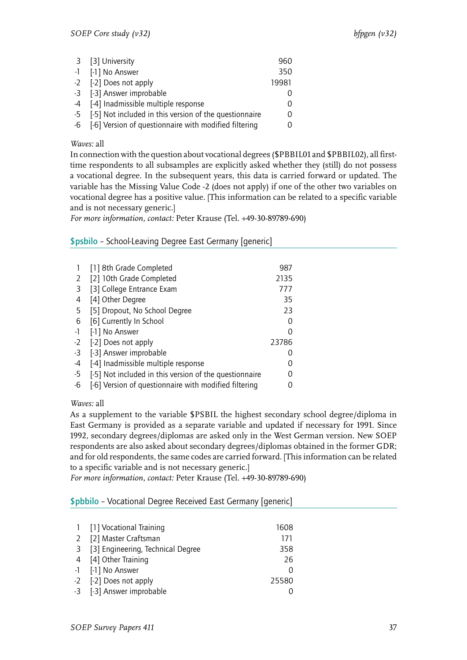| 3 [3] University                                          | 960   |
|-----------------------------------------------------------|-------|
| -1 [-1] No Answer                                         | 350   |
| -2 [-2] Does not apply                                    | 19981 |
| -3 [-3] Answer improbable                                 |       |
| -4 [-4] Inadmissible multiple response                    |       |
| -5 [-5] Not included in this version of the questionnaire |       |
| -6 [-6] Version of questionnaire with modified filtering  |       |

In connection with the question about vocational degrees (\$PBBIL01 and \$PBBIL02), all firsttime respondents to all subsamples are explicitly asked whether they (still) do not possess a vocational degree. In the subsequent years, this data is carried forward or updated. The variable has the Missing Value Code -2 (does not apply) if one of the other two variables on vocational degree has a positive value. [This information can be related to a specific variable and is not necessary generic.]

*For more information, contact:* Peter Krause (Tel. +49-30-89789-690)

# <span id="page-38-0"></span>\$psbilo – School-Leaving Degree East Germany [generic]

|      | [1] 8th Grade Completed                                | 987           |
|------|--------------------------------------------------------|---------------|
| 2    | [2] 10th Grade Completed                               | 2135          |
| 3    | [3] College Entrance Exam                              | 777           |
| 4    | [4] Other Degree                                       | 35            |
| 5    | [5] Dropout, No School Degree                          | 23            |
| 6    | [6] Currently In School                                |               |
| -1   | [-1] No Answer                                         | $\mathcal{L}$ |
| $-2$ | [-2] Does not apply                                    | 23786         |
| -3   | [-3] Answer improbable                                 |               |
| -4   | [-4] Inadmissible multiple response                    |               |
| -5   | [-5] Not included in this version of the questionnaire |               |
| -6   | [-6] Version of questionnaire with modified filtering  |               |

*Waves:* all

As a supplement to the variable \$PSBIL the highest secondary school degree/diploma in East Germany is provided as a separate variable and updated if necessary for 1991. Since 1992, secondary degrees/diplomas are asked only in the West German version. New SOEP respondents are also asked about secondary degrees/diplomas obtained in the former GDR; and for old respondents, the same codes are carried forward. [This information can be related to a specific variable and is not necessary generic.]

*For more information, contact:* Peter Krause (Tel. +49-30-89789-690)

<span id="page-38-1"></span>\$pbbilo – Vocational Degree Received East Germany [generic]

| 1 [1] Vocational Training           | 1608             |
|-------------------------------------|------------------|
| 2 [2] Master Craftsman              | 171              |
| 3 [3] Engineering, Technical Degree | 358              |
| 4 [4] Other Training                | 26               |
| -1 [-1] No Answer                   | $\left( \right)$ |
| -2 [-2] Does not apply              | 25580            |
| -3 [-3] Answer improbable           |                  |
|                                     |                  |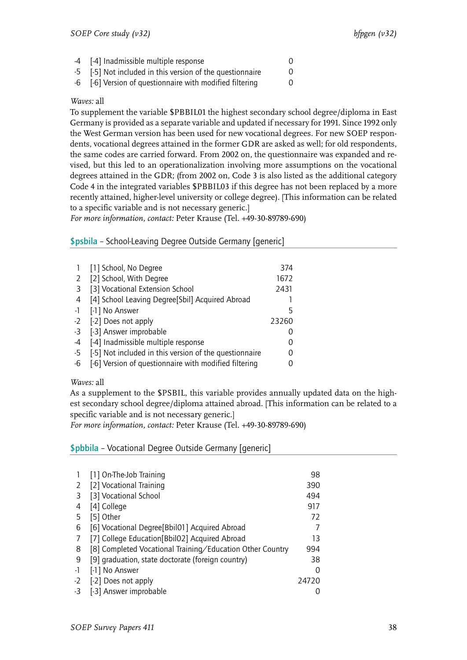| -4 [-4] Inadmissible multiple response                                                                                                                                                                                                                                                                      |  |
|-------------------------------------------------------------------------------------------------------------------------------------------------------------------------------------------------------------------------------------------------------------------------------------------------------------|--|
| $\mathbf{r}$ , $\mathbf{r}$ , $\mathbf{r}$ , $\mathbf{r}$ , $\mathbf{r}$ , $\mathbf{r}$ , $\mathbf{r}$ , $\mathbf{r}$ , $\mathbf{r}$ , $\mathbf{r}$ , $\mathbf{r}$ , $\mathbf{r}$ , $\mathbf{r}$ , $\mathbf{r}$ , $\mathbf{r}$ , $\mathbf{r}$ , $\mathbf{r}$ , $\mathbf{r}$ , $\mathbf{r}$ , $\mathbf{r}$ , |  |

- -5 [-5] Not included in this version of the questionnaire 0
- -6 [-6] Version of questionnaire with modified filtering 0

To supplement the variable \$PBBIL01 the highest secondary school degree/diploma in East Germany is provided as a separate variable and updated if necessary for 1991. Since 1992 only the West German version has been used for new vocational degrees. For new SOEP respondents, vocational degrees attained in the former GDR are asked as well; for old respondents, the same codes are carried forward. From 2002 on, the questionnaire was expanded and revised, but this led to an operationalization involving more assumptions on the vocational degrees attained in the GDR; (from 2002 on, Code 3 is also listed as the additional category Code 4 in the integrated variables \$PBBIL03 if this degree has not been replaced by a more recently attained, higher-level university or college degree). [This information can be related to a specific variable and is not necessary generic.]

*For more information, contact:* Peter Krause (Tel. +49-30-89789-690)

# <span id="page-39-0"></span>\$psbila – School-Leaving Degree Outside Germany [generic]

|      | [1] School, No Degree                                  | 374   |
|------|--------------------------------------------------------|-------|
| 2    | [2] School, With Degree                                | 1672  |
| -3   | [3] Vocational Extension School                        | 2431  |
| 4    | [4] School Leaving Degree[Sbil] Acquired Abroad        |       |
| $-1$ | [-1] No Answer                                         | 5     |
| $-2$ | [-2] Does not apply                                    | 23260 |
| $-3$ | [-3] Answer improbable                                 |       |
| -4   | [-4] Inadmissible multiple response                    |       |
| -5   | [-5] Not included in this version of the questionnaire |       |
| -6   | [-6] Version of questionnaire with modified filtering  |       |
|      |                                                        |       |

## *Waves:* all

As a supplement to the \$PSBIL, this variable provides annually updated data on the highest secondary school degree/diploma attained abroad. [This information can be related to a specific variable and is not necessary generic.]

*For more information, contact:* Peter Krause (Tel. +49-30-89789-690)

## <span id="page-39-1"></span>\$pbbila – Vocational Degree Outside Germany [generic]

|    | [1] On-The-Job Training                                   | 98    |
|----|-----------------------------------------------------------|-------|
| 2  | [2] Vocational Training                                   | 390   |
| 3  | [3] Vocational School                                     | 494   |
| 4  | [4] College                                               | 917   |
| 5  | [5] Other                                                 | 72    |
| 6  | [6] Vocational Degree[Bbil01] Acquired Abroad             |       |
| 7  | [7] College Education[Bbil02] Acquired Abroad             | 13    |
| 8  | [8] Completed Vocational Training/Education Other Country | 994   |
| 9  | [9] graduation, state doctorate (foreign country)         | 38    |
| -1 | [-1] No Answer                                            | 0     |
| -2 | [-2] Does not apply                                       | 24720 |
| -3 | [-3] Answer improbable                                    |       |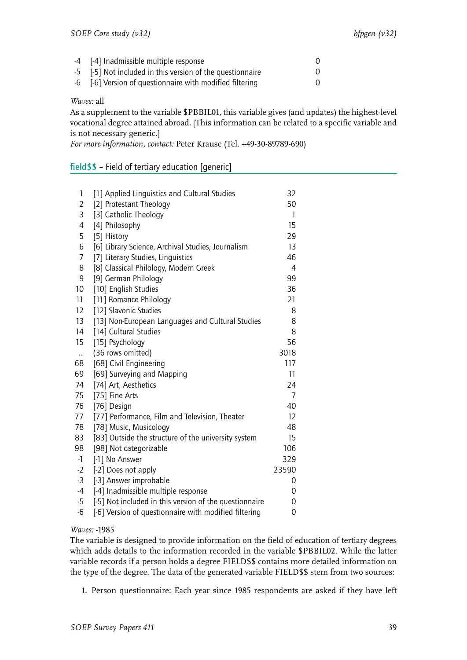| -4 [-4] Inadmissible multiple response                    |  |
|-----------------------------------------------------------|--|
| -5 [-5] Not included in this version of the questionnaire |  |
| -6 [-6] Version of questionnaire with modified filtering  |  |

As a supplement to the variable \$PBBIL01, this variable gives (and updates) the highest-level vocational degree attained abroad. [This information can be related to a specific variable and is not necessary generic.]

*For more information, contact:* Peter Krause (Tel. +49-30-89789-690)

<span id="page-40-0"></span>

|  | field\$\$ - Field of tertiary education [generic] |  |
|--|---------------------------------------------------|--|
|--|---------------------------------------------------|--|

| 1              | [1] Applied Linquistics and Cultural Studies           | 32             |
|----------------|--------------------------------------------------------|----------------|
| $\overline{2}$ | [2] Protestant Theology                                | 50             |
| 3              | [3] Catholic Theology                                  | 1              |
| 4              | [4] Philosophy                                         | 15             |
| 5              | [5] History                                            | 29             |
| 6              | [6] Library Science, Archival Studies, Journalism      | 13             |
| 7              | [7] Literary Studies, Linguistics                      | 46             |
| 8              | [8] Classical Philology, Modern Greek                  | $\overline{4}$ |
| 9              | [9] German Philology                                   | 99             |
| 10             | [10] English Studies                                   | 36             |
| 11             | [11] Romance Philology                                 | 21             |
| 12             | [12] Slavonic Studies                                  | 8              |
| 13             | [13] Non-European Languages and Cultural Studies       | 8              |
| 14             | [14] Cultural Studies                                  | 8              |
| 15             | [15] Psychology                                        | 56             |
| $\ddotsc$      | (36 rows omitted)                                      | 3018           |
| 68             | [68] Civil Engineering                                 | 117            |
| 69             | [69] Surveying and Mapping                             | 11             |
| 74             | [74] Art, Aesthetics                                   | 24             |
| 75             | [75] Fine Arts                                         | 7              |
| 76             | [76] Design                                            | 40             |
| 77             | [77] Performance, Film and Television, Theater         | 12             |
| 78             | [78] Music, Musicology                                 | 48             |
| 83             | [83] Outside the structure of the university system    | 15             |
| 98             | [98] Not categorizable                                 | 106            |
| $-1$           | [-1] No Answer                                         | 329            |
| $-2$           | [-2] Does not apply                                    | 23590          |
| $-3$           | [-3] Answer improbable                                 | 0              |
| $-4$           | [-4] Inadmissible multiple response                    | 0              |
| $-5$           | [-5] Not included in this version of the questionnaire | 0              |
| $-6$           | [-6] Version of questionnaire with modified filtering  | 0              |
|                |                                                        |                |

## *Waves:* -1985

The variable is designed to provide information on the field of education of tertiary degrees which adds details to the information recorded in the variable \$PBBIL02. While the latter variable records if a person holds a degree FIELD\$\$ contains more detailed information on the type of the degree. The data of the generated variable FIELD\$\$ stem from two sources:

1. Person questionnaire: Each year since 1985 respondents are asked if they have left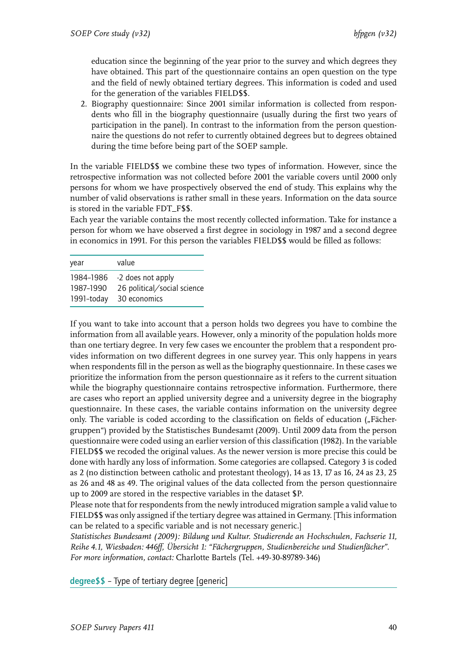education since the beginning of the year prior to the survey and which degrees they have obtained. This part of the questionnaire contains an open question on the type and the field of newly obtained tertiary degrees. This information is coded and used for the generation of the variables FIELD\$\$.

2. Biography questionnaire: Since 2001 similar information is collected from respondents who fill in the biography questionnaire (usually during the first two years of participation in the panel). In contrast to the information from the person questionnaire the questions do not refer to currently obtained degrees but to degrees obtained during the time before being part of the SOEP sample.

In the variable FIELD\$\$ we combine these two types of information. However, since the retrospective information was not collected before 2001 the variable covers until 2000 only persons for whom we have prospectively observed the end of study. This explains why the number of valid observations is rather small in these years. Information on the data source is stored in the variable FDT\_F\$\$.

Each year the variable contains the most recently collected information. Take for instance a person for whom we have observed a first degree in sociology in 1987 and a second degree in economics in 1991. For this person the variables FIELD\$\$ would be filled as follows:

| year                    | value                                       |
|-------------------------|---------------------------------------------|
| 1984–1986               | -2 does not apply                           |
| 1987-1990<br>1991-today | 26 political/social science<br>30 economics |

If you want to take into account that a person holds two degrees you have to combine the information from all available years. However, only a minority of the population holds more than one tertiary degree. In very few cases we encounter the problem that a respondent provides information on two different degrees in one survey year. This only happens in years when respondents fill in the person as well as the biography questionnaire. In these cases we prioritize the information from the person questionnaire as it refers to the current situation while the biography questionnaire contains retrospective information. Furthermore, there are cases who report an applied university degree and a university degree in the biography questionnaire. In these cases, the variable contains information on the university degree only. The variable is coded according to the classification on fields of education ("Fächergruppen") provided by the Statistisches Bundesamt (2009). Until 2009 data from the person questionnaire were coded using an earlier version of this classification (1982). In the variable FIELD\$\$ we recoded the original values. As the newer version is more precise this could be done with hardly any loss of information. Some categories are collapsed. Category 3 is coded as 2 (no distinction between catholic and protestant theology), 14 as 13, 17 as 16, 24 as 23, 25 as 26 and 48 as 49. The original values of the data collected from the person questionnaire up to 2009 are stored in the respective variables in the dataset \$P.

Please note that for respondents from the newly introduced migration sample a valid value to FIELD\$\$ was only assigned if the tertiary degree was attained in Germany. [This information can be related to a specific variable and is not necessary generic.]

*Statistisches Bundesamt (2009): Bildung und Kultur. Studierende an Hochschulen, Fachserie 11, Reihe 4.1, Wiesbaden: 446ff, Übersicht 1: "Fächergruppen, Studienbereiche und Studienfächer". For more information, contact:* Charlotte Bartels (Tel. +49-30-89789-346)

<span id="page-41-0"></span>degree\$\$ – Type of tertiary degree [generic]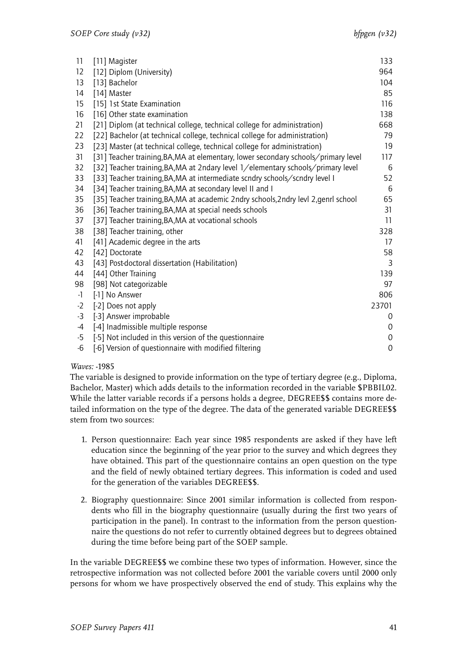| 11   | [11] Magister                                                                       | 133         |
|------|-------------------------------------------------------------------------------------|-------------|
| 12   | [12] Diplom (University)                                                            | 964         |
| 13   | [13] Bachelor                                                                       | 104         |
| 14   | [14] Master                                                                         | 85          |
| 15   | [15] 1st State Examination                                                          | 116         |
| 16   | [16] Other state examination                                                        | 138         |
| 21   | [21] Diplom (at technical college, technical college for administration)            | 668         |
| 22   | [22] Bachelor (at technical college, technical college for administration)          | 79          |
| 23   | [23] Master (at technical college, technical college for administration)            | 19          |
| 31   | [31] Teacher training, BA, MA at elementary, lower secondary schools/primary level  | 117         |
| 32   | [32] Teacher training, BA, MA at 2ndary level 1/elementary schools/primary level    | 6           |
| 33   | [33] Teacher training, BA, MA at intermediate scndry schools/scndry level I         | 52          |
| 34   | [34] Teacher training, BA, MA at secondary level II and I                           | 6           |
| 35   | [35] Teacher training, BA, MA at academic 2ndry schools, 2ndry levl 2, genrl school | 65          |
| 36   | [36] Teacher training, BA, MA at special needs schools                              | 31          |
| 37   | [37] Teacher training, BA, MA at vocational schools                                 | 11          |
| 38   | [38] Teacher training, other                                                        | 328         |
| 41   | [41] Academic degree in the arts                                                    | 17          |
| 42   | [42] Doctorate                                                                      | 58          |
| 43   | [43] Post-doctoral dissertation (Habilitation)                                      | 3           |
| 44   | [44] Other Training                                                                 | 139         |
| 98   | [98] Not categorizable                                                              | 97          |
| $-1$ | [-1] No Answer                                                                      | 806         |
| $-2$ | [-2] Does not apply                                                                 | 23701       |
| -3   | [-3] Answer improbable                                                              | 0           |
| -4   | [-4] Inadmissible multiple response                                                 | 0           |
| $-5$ | [-5] Not included in this version of the questionnaire                              | 0           |
| -6   | [-6] Version of questionnaire with modified filtering                               | $\mathbf 0$ |

The variable is designed to provide information on the type of tertiary degree (e.g., Diploma, Bachelor, Master) which adds details to the information recorded in the variable \$PBBIL02. While the latter variable records if a persons holds a degree, DEGREE\$\$ contains more detailed information on the type of the degree. The data of the generated variable DEGREE\$\$ stem from two sources:

- 1. Person questionnaire: Each year since 1985 respondents are asked if they have left education since the beginning of the year prior to the survey and which degrees they have obtained. This part of the questionnaire contains an open question on the type and the field of newly obtained tertiary degrees. This information is coded and used for the generation of the variables DEGREE\$\$.
- 2. Biography questionnaire: Since 2001 similar information is collected from respondents who fill in the biography questionnaire (usually during the first two years of participation in the panel). In contrast to the information from the person questionnaire the questions do not refer to currently obtained degrees but to degrees obtained during the time before being part of the SOEP sample.

In the variable DEGREE\$\$ we combine these two types of information. However, since the retrospective information was not collected before 2001 the variable covers until 2000 only persons for whom we have prospectively observed the end of study. This explains why the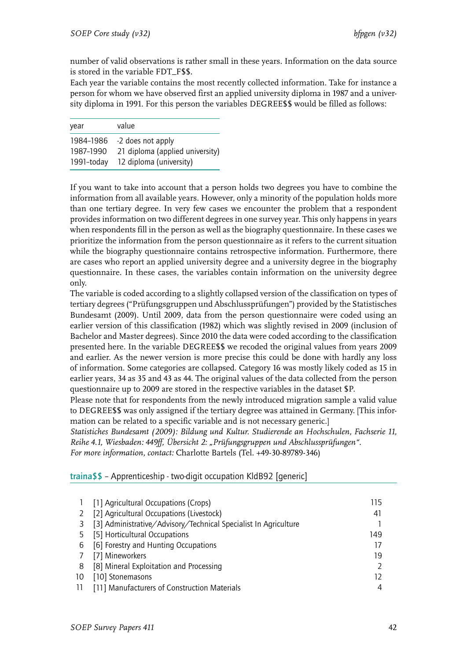number of valid observations is rather small in these years. Information on the data source is stored in the variable FDT\_F\$\$.

Each year the variable contains the most recently collected information. Take for instance a person for whom we have observed first an applied university diploma in 1987 and a university diploma in 1991. For this person the variables DEGREE\$\$ would be filled as follows:

| year       | value                           |
|------------|---------------------------------|
| 1984-1986  | -2 does not apply               |
| 1987-1990  | 21 diploma (applied university) |
| 1991-today | 12 diploma (university)         |

If you want to take into account that a person holds two degrees you have to combine the information from all available years. However, only a minority of the population holds more than one tertiary degree. In very few cases we encounter the problem that a respondent provides information on two different degrees in one survey year. This only happens in years when respondents fill in the person as well as the biography questionnaire. In these cases we prioritize the information from the person questionnaire as it refers to the current situation while the biography questionnaire contains retrospective information. Furthermore, there are cases who report an applied university degree and a university degree in the biography questionnaire. In these cases, the variables contain information on the university degree only.

The variable is coded according to a slightly collapsed version of the classification on types of tertiary degrees ("Prüfungsgruppen und Abschlussprüfungen") provided by the Statistisches Bundesamt (2009). Until 2009, data from the person questionnaire were coded using an earlier version of this classification (1982) which was slightly revised in 2009 (inclusion of Bachelor and Master degrees). Since 2010 the data were coded according to the classification presented here. In the variable DEGREE\$\$ we recoded the original values from years 2009 and earlier. As the newer version is more precise this could be done with hardly any loss of information. Some categories are collapsed. Category 16 was mostly likely coded as 15 in earlier years, 34 as 35 and 43 as 44. The original values of the data collected from the person questionnaire up to 2009 are stored in the respective variables in the dataset \$P.

Please note that for respondents from the newly introduced migration sample a valid value to DEGREE\$\$ was only assigned if the tertiary degree was attained in Germany. [This information can be related to a specific variable and is not necessary generic.]

*Statistiches Bundesamt (2009): Bildung und Kultur. Studierende an Hochschulen, Fachserie 11, Reihe 4.1, Wiesbaden: 449ff, Übersicht 2: "Prüfungsgruppen und Abschlussprüfungen".*

*For more information, contact:* Charlotte Bartels (Tel. +49-30-89789-346)

<span id="page-43-0"></span>traina\$\$ – Apprenticeship - two-digit occupation KldB92 [generic]

|    | [1] Agricultural Occupations (Crops)                            | 115 |
|----|-----------------------------------------------------------------|-----|
|    | [2] Agricultural Occupations (Livestock)                        | 41  |
|    | [3] Administrative/Advisory/Technical Specialist In Agriculture |     |
|    | [5] Horticultural Occupations                                   | 149 |
| 6  | [6] Forestry and Hunting Occupations                            | 17  |
|    | [7] Mineworkers                                                 | 19  |
| 8  | [8] Mineral Exploitation and Processing                         |     |
| 10 | [10] Stonemasons                                                | 12  |
| 11 | [11] Manufacturers of Construction Materials                    | 4   |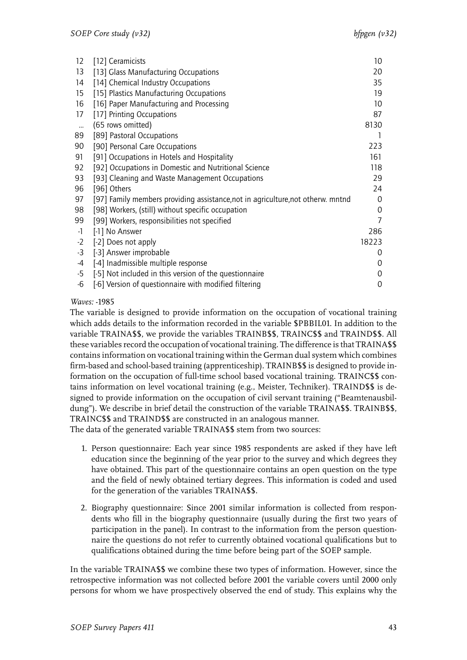| 12        | [12] Ceramicists                                                                | 10    |
|-----------|---------------------------------------------------------------------------------|-------|
| 13        | [13] Glass Manufacturing Occupations                                            | 20    |
| 14        | [14] Chemical Industry Occupations                                              | 35    |
| 15        | [15] Plastics Manufacturing Occupations                                         | 19    |
| 16        | [16] Paper Manufacturing and Processing                                         | 10    |
| 17        | [17] Printing Occupations                                                       | 87    |
| $\ddotsc$ | (65 rows omitted)                                                               | 8130  |
| 89        | [89] Pastoral Occupations                                                       |       |
| 90        | [90] Personal Care Occupations                                                  | 223   |
| 91        | [91] Occupations in Hotels and Hospitality                                      | 161   |
| 92        | [92] Occupations in Domestic and Nutritional Science                            | 118   |
| 93        | [93] Cleaning and Waste Management Occupations                                  | 29    |
| 96        | [96] Others                                                                     | 24    |
| 97        | [97] Family members providing assistance, not in agriculture, not otherw. mntnd | 0     |
| 98        | [98] Workers, (still) without specific occupation                               | 0     |
| 99        | [99] Workers, responsibilities not specified                                    |       |
| -1        | [-1] No Answer                                                                  | 286   |
| $-2$      | [-2] Does not apply                                                             | 18223 |
| $-3$      | [-3] Answer improbable                                                          | 0     |
| $-4$      | [-4] Inadmissible multiple response                                             | 0     |
| $-5$      | [-5] Not included in this version of the questionnaire                          | 0     |
| -6        | [-6] Version of questionnaire with modified filtering                           | 0     |

The variable is designed to provide information on the occupation of vocational training which adds details to the information recorded in the variable \$PBBIL01. In addition to the variable TRAINA\$\$, we provide the variables TRAINB\$\$, TRAINC\$\$ and TRAIND\$\$. All these variables record the occupation of vocational training. The difference is that TRAINA\$\$ contains information on vocational training within the German dual system which combines firm-based and school-based training (apprenticeship). TRAINB\$\$ is designed to provide information on the occupation of full-time school based vocational training. TRAINC\$\$ contains information on level vocational training (e.g., Meister, Techniker). TRAIND\$\$ is designed to provide information on the occupation of civil servant training ("Beamtenausbildung"). We describe in brief detail the construction of the variable TRAINA\$\$. TRAINB\$\$, TRAINC\$\$ and TRAIND\$\$ are constructed in an analogous manner.

The data of the generated variable TRAINA\$\$ stem from two sources:

- 1. Person questionnaire: Each year since 1985 respondents are asked if they have left education since the beginning of the year prior to the survey and which degrees they have obtained. This part of the questionnaire contains an open question on the type and the field of newly obtained tertiary degrees. This information is coded and used for the generation of the variables TRAINA\$\$.
- 2. Biography questionnaire: Since 2001 similar information is collected from respondents who fill in the biography questionnaire (usually during the first two years of participation in the panel). In contrast to the information from the person questionnaire the questions do not refer to currently obtained vocational qualifications but to qualifications obtained during the time before being part of the SOEP sample.

In the variable TRAINA\$\$ we combine these two types of information. However, since the retrospective information was not collected before 2001 the variable covers until 2000 only persons for whom we have prospectively observed the end of study. This explains why the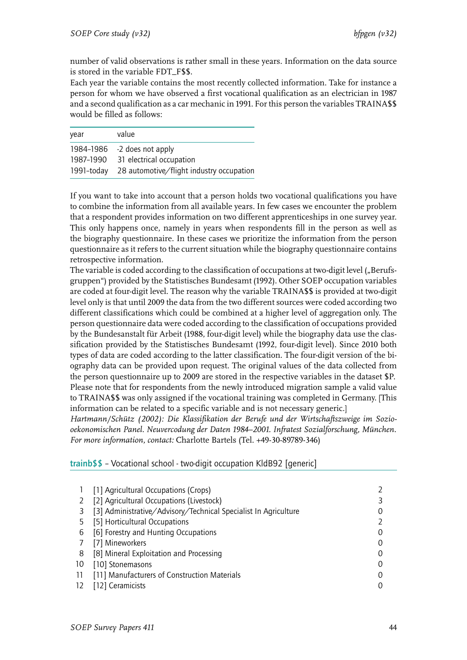number of valid observations is rather small in these years. Information on the data source is stored in the variable FDT\_F\$\$.

Each year the variable contains the most recently collected information. Take for instance a person for whom we have observed a first vocational qualification as an electrician in 1987 and a second qualification as a car mechanic in 1991. For this person the variables TRAINA\$\$ would be filled as follows:

| year       | value                                    |
|------------|------------------------------------------|
|            | 1984-1986 -2 does not apply              |
| 1987–1990  | 31 electrical occupation                 |
| 1991-today | 28 automotive/flight industry occupation |

If you want to take into account that a person holds two vocational qualifications you have to combine the information from all available years. In few cases we encounter the problem that a respondent provides information on two different apprenticeships in one survey year. This only happens once, namely in years when respondents fill in the person as well as the biography questionnaire. In these cases we prioritize the information from the person questionnaire as it refers to the current situation while the biography questionnaire contains retrospective information.

The variable is coded according to the classification of occupations at two-digit level ("Berufsgruppen") provided by the Statistisches Bundesamt (1992). Other SOEP occupation variables are coded at four-digit level. The reason why the variable TRAINA\$\$ is provided at two-digit level only is that until 2009 the data from the two different sources were coded according two different classifications which could be combined at a higher level of aggregation only. The person questionnaire data were coded according to the classification of occupations provided by the Bundesanstalt für Arbeit (1988, four-digit level) while the biography data use the classification provided by the Statistisches Bundesamt (1992, four-digit level). Since 2010 both types of data are coded according to the latter classification. The four-digit version of the biography data can be provided upon request. The original values of the data collected from the person questionnaire up to 2009 are stored in the respective variables in the dataset \$P. Please note that for respondents from the newly introduced migration sample a valid value to TRAINA\$\$ was only assigned if the vocational training was completed in Germany. [This information can be related to a specific variable and is not necessary generic.]

*Hartmann/Schütz (2002): Die Klassifikation der Berufe und der Wirtschaftszweige im Soziooekonomischen Panel. Neuvercodung der Daten 1984–2001. Infratest Sozialforschung, München. For more information, contact:* Charlotte Bartels (Tel. +49-30-89789-346)

# <span id="page-45-0"></span>trainb\$\$ – Vocational school - two-digit occupation KldB92 [generic]

|    | [1] Agricultural Occupations (Crops)                            |   |
|----|-----------------------------------------------------------------|---|
|    | [2] Agricultural Occupations (Livestock)                        |   |
|    | [3] Administrative/Advisory/Technical Specialist In Agriculture |   |
| 5  | [5] Horticultural Occupations                                   |   |
| 6  | [6] Forestry and Hunting Occupations                            | O |
|    | [7] Mineworkers                                                 |   |
| 8  | [8] Mineral Exploitation and Processing                         |   |
| 10 | [10] Stonemasons                                                |   |
| 11 | [11] Manufacturers of Construction Materials                    |   |
| 12 | [12] Ceramicists                                                |   |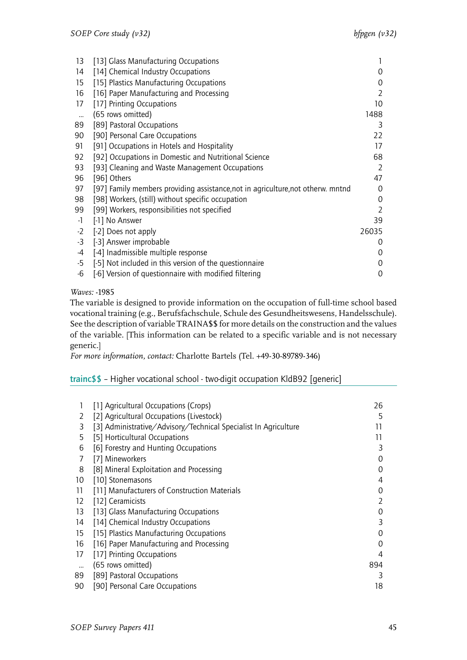| 13       | [13] Glass Manufacturing Occupations                                            |                |
|----------|---------------------------------------------------------------------------------|----------------|
| 14       | [14] Chemical Industry Occupations                                              | 0              |
| 15       | [15] Plastics Manufacturing Occupations                                         | 0              |
| 16       | [16] Paper Manufacturing and Processing                                         | $\mathcal{P}$  |
| 17       | [17] Printing Occupations                                                       | 10             |
| $\cdots$ | (65 rows omitted)                                                               | 1488           |
| 89       | [89] Pastoral Occupations                                                       | 3              |
| 90       | [90] Personal Care Occupations                                                  | 22             |
| 91       | [91] Occupations in Hotels and Hospitality                                      | 17             |
| 92       | [92] Occupations in Domestic and Nutritional Science                            | 68             |
| 93       | [93] Cleaning and Waste Management Occupations                                  | $\mathcal{L}$  |
| 96       | [96] Others                                                                     | 47             |
| 97       | [97] Family members providing assistance, not in agriculture, not otherw. mntnd | $\Omega$       |
| 98       | [98] Workers, (still) without specific occupation                               | 0              |
| 99       | [99] Workers, responsibilities not specified                                    | $\overline{2}$ |
| $-1$     | [-1] No Answer                                                                  | 39             |
| $-2$     | [-2] Does not apply                                                             | 26035          |
| $-3$     | [-3] Answer improbable                                                          | 0              |
| -4       | [-4] Inadmissible multiple response                                             | 0              |
| -5       | [-5] Not included in this version of the questionnaire                          | 0              |
| -6       | [-6] Version of questionnaire with modified filtering                           | 0              |

The variable is designed to provide information on the occupation of full-time school based vocational training (e.g., Berufsfachschule, Schule des Gesundheitswesens, Handelsschule). See the description of variable TRAINA\$\$ for more details on the construction and the values of the variable. [This information can be related to a specific variable and is not necessary generic.]

*For more information, contact:* Charlotte Bartels (Tel. +49-30-89789-346)

# <span id="page-46-0"></span>trainc\$\$ – Higher vocational school - two-digit occupation KldB92 [generic]

| 1        | [1] Agricultural Occupations (Crops)                            | 26             |
|----------|-----------------------------------------------------------------|----------------|
| 2        | [2] Agricultural Occupations (Livestock)                        | 5              |
| 3        | [3] Administrative/Advisory/Technical Specialist In Agriculture | 11             |
| 5        | [5] Horticultural Occupations                                   | 11             |
| 6        | [6] Forestry and Hunting Occupations                            | 3              |
| 7        | [7] Mineworkers                                                 | 0              |
| 8        | [8] Mineral Exploitation and Processing                         | 0              |
| 10       | [10] Stonemasons                                                | 4              |
| 11       | [11] Manufacturers of Construction Materials                    | 0              |
| 12       | [12] Ceramicists                                                | $\overline{2}$ |
| 13       | [13] Glass Manufacturing Occupations                            | 0              |
| 14       | [14] Chemical Industry Occupations                              | 3              |
| 15       | [15] Plastics Manufacturing Occupations                         | 0              |
| 16       | [16] Paper Manufacturing and Processing                         | 0              |
| 17       | [17] Printing Occupations                                       | 4              |
| $\cdots$ | (65 rows omitted)                                               | 894            |
| 89       | [89] Pastoral Occupations                                       | 3              |
| 90       | [90] Personal Care Occupations                                  | 18             |
|          |                                                                 |                |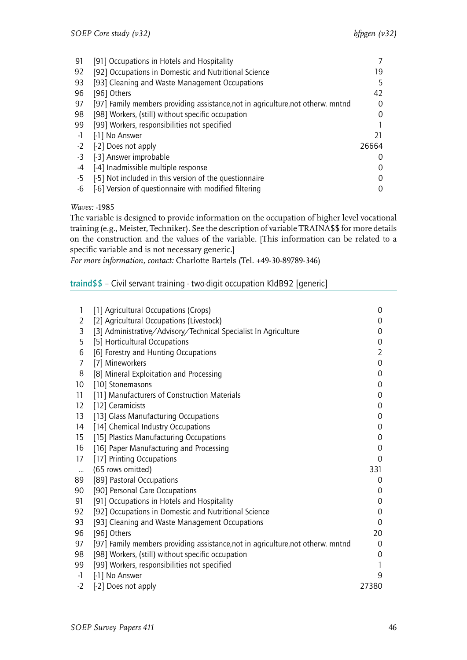| 91   | [91] Occupations in Hotels and Hospitality                                      |                  |
|------|---------------------------------------------------------------------------------|------------------|
| 92   | [92] Occupations in Domestic and Nutritional Science                            | 19               |
| 93   | [93] Cleaning and Waste Management Occupations                                  | 5                |
| 96   | [96] Others                                                                     | 42               |
| 97   | [97] Family members providing assistance, not in agriculture, not otherw. mntnd | $\left( \right)$ |
| 98   | [98] Workers, (still) without specific occupation                               | 0                |
| 99   | [99] Workers, responsibilities not specified                                    |                  |
| -1   | [-1] No Answer                                                                  | 21               |
| $-2$ | [-2] Does not apply                                                             | 26664            |
| -3   | [-3] Answer improbable                                                          |                  |
| -4   | [-4] Inadmissible multiple response                                             |                  |
| -5   | [-5] Not included in this version of the questionnaire                          |                  |
| -6   | [-6] Version of questionnaire with modified filtering                           |                  |

The variable is designed to provide information on the occupation of higher level vocational training (e.g., Meister, Techniker). See the description of variable TRAINA\$\$ for more details on the construction and the values of the variable. [This information can be related to a specific variable and is not necessary generic.]

*For more information, contact:* Charlotte Bartels (Tel. +49-30-89789-346)

# <span id="page-47-0"></span>traind\$\$ – Civil servant training - two-digit occupation KldB92 [generic]

| 1         | [1] Agricultural Occupations (Crops)                                            | 0              |
|-----------|---------------------------------------------------------------------------------|----------------|
| 2         | [2] Agricultural Occupations (Livestock)                                        | 0              |
| 3         | [3] Administrative/Advisory/Technical Specialist In Agriculture                 | 0              |
| 5         | [5] Horticultural Occupations                                                   | 0              |
| 6         | [6] Forestry and Hunting Occupations                                            | $\overline{2}$ |
| 7         | [7] Mineworkers                                                                 | 0              |
| 8         | [8] Mineral Exploitation and Processing                                         | 0              |
| 10        | [10] Stonemasons                                                                | 0              |
| 11        | [11] Manufacturers of Construction Materials                                    | 0              |
| 12        | [12] Ceramicists                                                                | 0              |
| 13        | [13] Glass Manufacturing Occupations                                            | 0              |
| 14        | [14] Chemical Industry Occupations                                              | 0              |
| 15        | [15] Plastics Manufacturing Occupations                                         | 0              |
| 16        | [16] Paper Manufacturing and Processing                                         | 0              |
| 17        | [17] Printing Occupations                                                       | 0              |
| $\ddotsc$ | (65 rows omitted)                                                               | 331            |
| 89        | [89] Pastoral Occupations                                                       | 0              |
| 90        | [90] Personal Care Occupations                                                  | 0              |
| 91        | [91] Occupations in Hotels and Hospitality                                      | 0              |
| 92        | [92] Occupations in Domestic and Nutritional Science                            | 0              |
| 93        | [93] Cleaning and Waste Management Occupations                                  | 0              |
| 96        | [96] Others                                                                     | 20             |
| 97        | [97] Family members providing assistance, not in agriculture, not otherw. mntnd | 0              |
| 98        | [98] Workers, (still) without specific occupation                               | 0              |
| 99        | [99] Workers, responsibilities not specified                                    | 1              |
| $-1$      | [-1] No Answer                                                                  | 9              |
| $-2$      | [-2] Does not apply                                                             | 27380          |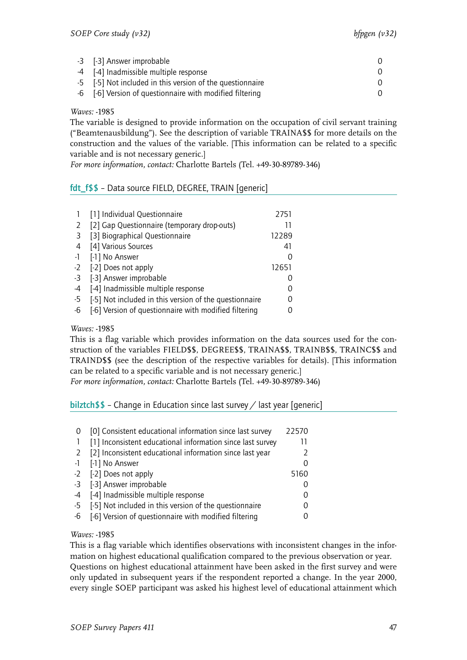| -3 [-3] Answer improbable                                 |  |
|-----------------------------------------------------------|--|
| -4 [-4] Inadmissible multiple response                    |  |
| -5 [-5] Not included in this version of the questionnaire |  |
| -6 [-6] Version of questionnaire with modified filtering  |  |

The variable is designed to provide information on the occupation of civil servant training ("Beamtenausbildung"). See the description of variable TRAINA\$\$ for more details on the construction and the values of the variable. [This information can be related to a specific variable and is not necessary generic.]

*For more information, contact:* Charlotte Bartels (Tel. +49-30-89789-346)

# <span id="page-48-0"></span>fdt\_f\$\$ – Data source FIELD, DEGREE, TRAIN [generic]

|      | [1] Individual Questionnaire                           | 2751  |
|------|--------------------------------------------------------|-------|
| 2    | [2] Gap Questionnaire (temporary drop-outs)            | 11    |
| 3    | [3] Biographical Questionnaire                         | 12289 |
| 4    | [4] Various Sources                                    | 41    |
| $-1$ | [-1] No Answer                                         |       |
| $-2$ | [-2] Does not apply                                    | 12651 |
| $-3$ | [-3] Answer improbable                                 |       |
| -4   | [-4] Inadmissible multiple response                    |       |
| -5   | [-5] Not included in this version of the questionnaire |       |
| -6   | [-6] Version of questionnaire with modified filtering  |       |

#### *Waves:* -1985

This is a flag variable which provides information on the data sources used for the construction of the variables FIELD\$\$, DEGREE\$\$, TRAINA\$\$, TRAINB\$\$, TRAINC\$\$ and TRAIND\$\$ (see the description of the respective variables for details). [This information can be related to a specific variable and is not necessary generic.]

*For more information, contact:* Charlotte Bartels (Tel. +49-30-89789-346)

## <span id="page-48-1"></span>bilztch\$\$ - Change in Education since last survey  $\angle$  last year [generic]

|      | [0] Consistent educational information since last survey   | 22570 |
|------|------------------------------------------------------------|-------|
|      | [1] Inconsistent educational information since last survey | 11    |
| 2    | [2] Inconsistent educational information since last year   |       |
| $-1$ | [-1] No Answer                                             |       |
|      | -2 [-2] Does not apply                                     | 5160  |
|      | -3 [-3] Answer improbable                                  |       |
| -4   | [-4] Inadmissible multiple response                        |       |
| $-5$ | [-5] Not included in this version of the questionnaire     |       |
| -6   | [-6] Version of questionnaire with modified filtering      |       |
|      |                                                            |       |

## *Waves:* -1985

This is a flag variable which identifies observations with inconsistent changes in the information on highest educational qualification compared to the previous observation or year. Questions on highest educational attainment have been asked in the first survey and were only updated in subsequent years if the respondent reported a change. In the year 2000, every single SOEP participant was asked his highest level of educational attainment which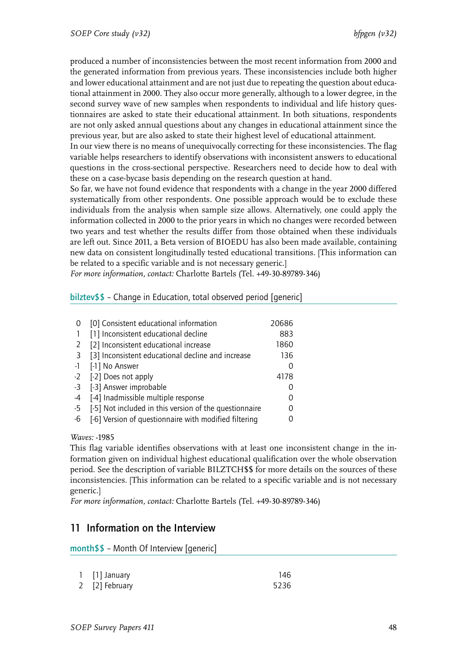produced a number of inconsistencies between the most recent information from 2000 and the generated information from previous years. These inconsistencies include both higher and lower educational attainment and are not just due to repeating the question about educational attainment in 2000. They also occur more generally, although to a lower degree, in the second survey wave of new samples when respondents to individual and life history questionnaires are asked to state their educational attainment. In both situations, respondents are not only asked annual questions about any changes in educational attainment since the previous year, but are also asked to state their highest level of educational attainment.

In our view there is no means of unequivocally correcting for these inconsistencies. The flag variable helps researchers to identify observations with inconsistent answers to educational questions in the cross-sectional perspective. Researchers need to decide how to deal with these on a case-bycase basis depending on the research question at hand.

So far, we have not found evidence that respondents with a change in the year 2000 differed systematically from other respondents. One possible approach would be to exclude these individuals from the analysis when sample size allows. Alternatively, one could apply the information collected in 2000 to the prior years in which no changes were recorded between two years and test whether the results differ from those obtained when these individuals are left out. Since 2011, a Beta version of BIOEDU has also been made available, containing new data on consistent longitudinally tested educational transitions. [This information can be related to a specific variable and is not necessary generic.]

*For more information, contact:* Charlotte Bartels (Tel. +49-30-89789-346)

# <span id="page-49-0"></span>bilztev\$\$ – Change in Education, total observed period [generic]

|      | [0] Consistent educational information                 | 20686 |
|------|--------------------------------------------------------|-------|
|      | [1] Inconsistent educational decline                   | 883   |
| 2    | [2] Inconsistent educational increase                  | 1860  |
| 3    | [3] Inconsistent educational decline and increase      | 136   |
| $-1$ | [-1] No Answer                                         | 0     |
| $-2$ | [-2] Does not apply                                    | 4178  |
| $-3$ | [-3] Answer improbable                                 |       |
| -4   | [-4] Inadmissible multiple response                    |       |
| -5   | [-5] Not included in this version of the questionnaire |       |
| -6   | [-6] Version of questionnaire with modified filtering  |       |

*Waves:* -1985

This flag variable identifies observations with at least one inconsistent change in the information given on individual highest educational qualification over the whole observation period. See the description of variable BILZTCH\$\$ for more details on the sources of these inconsistencies. [This information can be related to a specific variable and is not necessary generic.]

*For more information, contact:* Charlotte Bartels (Tel. +49-30-89789-346)

# 11 Information on the Interview

month\$\$ – Month Of Interview [generic]

| 1 [1] January  | 146  |
|----------------|------|
| 2 [2] February | 5236 |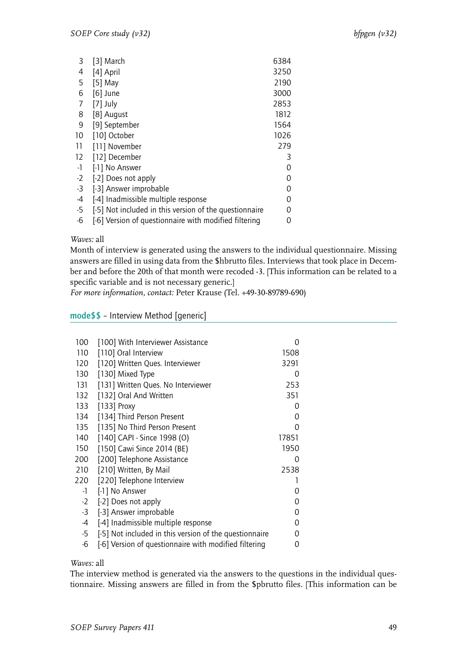| 3    | [3] March                                              | 6384 |
|------|--------------------------------------------------------|------|
| 4    | [4] April                                              | 3250 |
| 5    | [5] May                                                | 2190 |
| 6    | $[6]$ June                                             | 3000 |
| 7    | $[7]$ July                                             | 2853 |
| 8    | [8] August                                             | 1812 |
| 9    | [9] September                                          | 1564 |
| 10   | [10] October                                           | 1026 |
| 11   | [11] November                                          | 279  |
| 12   | [12] December                                          | 3    |
| $-1$ | [-1] No Answer                                         | 0    |
| $-2$ | [-2] Does not apply                                    | 0    |
| $-3$ | [-3] Answer improbable                                 | 0    |
| $-4$ | [-4] Inadmissible multiple response                    | 0    |
| $-5$ | [-5] Not included in this version of the questionnaire | 0    |
| $-6$ | [-6] Version of questionnaire with modified filtering  | 0    |

Month of interview is generated using the answers to the individual questionnaire. Missing answers are filled in using data from the \$hbrutto files. Interviews that took place in December and before the 20th of that month were recoded -3. [This information can be related to a specific variable and is not necessary generic.]

*For more information, contact:* Peter Krause (Tel. +49-30-89789-690)

mode\$\$ – Interview Method [generic]

| 100  | [100] With Interviewer Assistance                      | Ω        |  |
|------|--------------------------------------------------------|----------|--|
| 110  | [110] Oral Interview                                   | 1508     |  |
| 120  | [120] Written Ques. Interviewer                        | 3291     |  |
| 130  | [130] Mixed Type                                       | 0        |  |
| 131  | [131] Written Ques. No Interviewer                     | 253      |  |
| 132  | [132] Oral And Written                                 | 351      |  |
| 133  | [133] Proxy                                            | Ω        |  |
| 134  | [134] Third Person Present                             | 0        |  |
| 135  | [135] No Third Person Present                          | 0        |  |
| 140  | [140] CAPI - Since 1998 (0)                            | 17851    |  |
| 150  | [150] Cawi Since 2014 (BE)                             | 1950     |  |
| 200  | [200] Telephone Assistance                             | 0        |  |
| 210  | [210] Written, By Mail                                 | 2538     |  |
| 220  | [220] Telephone Interview                              | 1        |  |
| $-1$ | [-1] No Answer                                         | 0        |  |
|      | -2 [-2] Does not apply                                 | 0        |  |
| $-3$ | [-3] Answer improbable                                 | 0        |  |
| $-4$ | [-4] Inadmissible multiple response                    | $\Omega$ |  |
| $-5$ | [-5] Not included in this version of the questionnaire | 0        |  |
| -6   | [-6] Version of questionnaire with modified filtering  | 0        |  |
|      |                                                        |          |  |

## *Waves:* all

The interview method is generated via the answers to the questions in the individual questionnaire. Missing answers are filled in from the \$pbrutto files. [This information can be